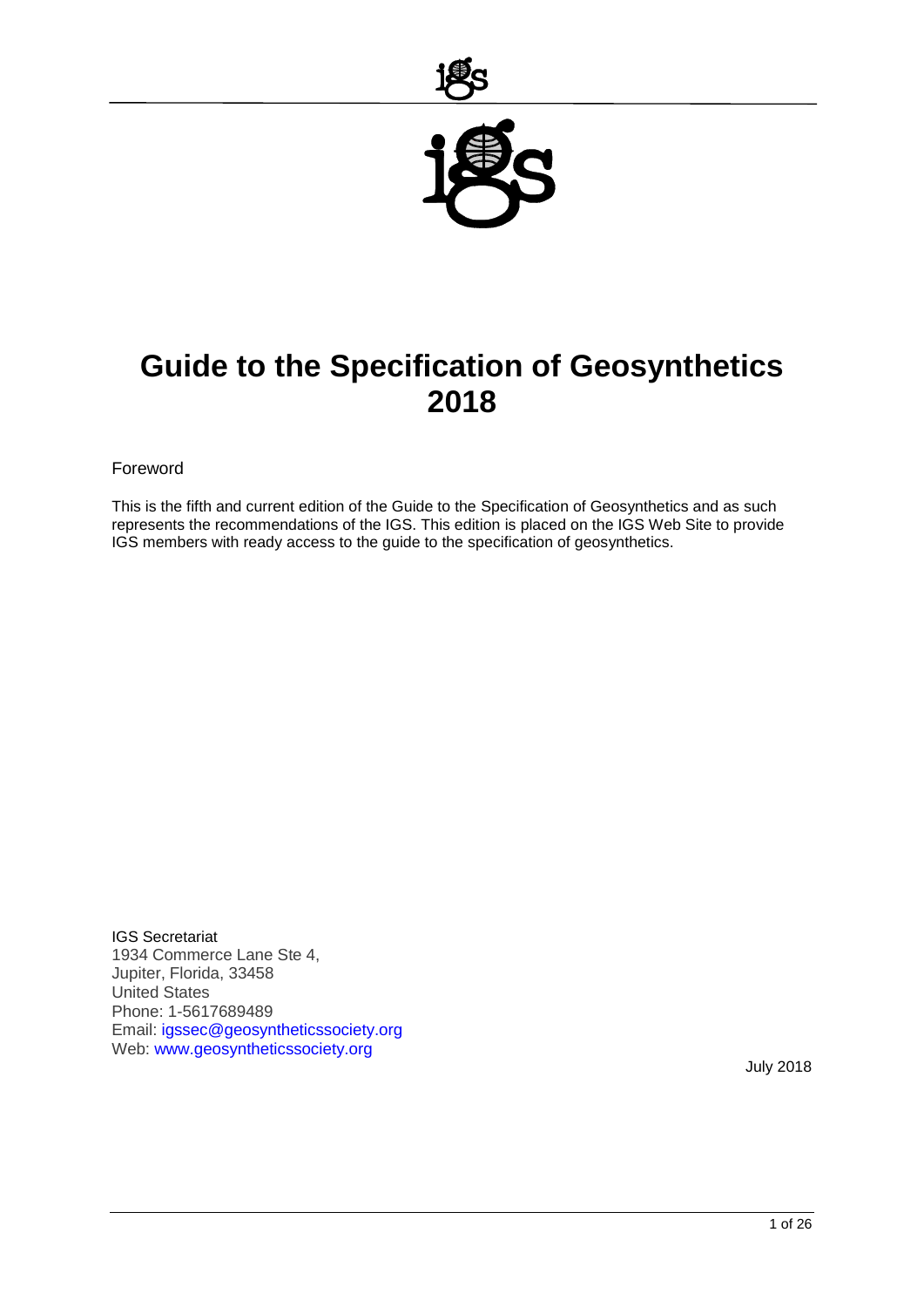

# **Guide to the Specification of Geosynthetics 2018**

#### Foreword

This is the fifth and current edition of the Guide to the Specification of Geosynthetics and as such represents the recommendations of the IGS. This edition is placed on the IGS Web Site to provide IGS members with ready access to the guide to the specification of geosynthetics.

IGS Secretariat 1934 Commerce Lane Ste 4, Jupiter, Florida, 33458 United States Phone: 1-5617689489 Email: [igssec@geosyntheticssociety.org](mailto:igssec@geosyntheticssociety.org) Web: [www.geosyntheticssociety.org](http://www.geosyntheticssociety.org/)

July 2018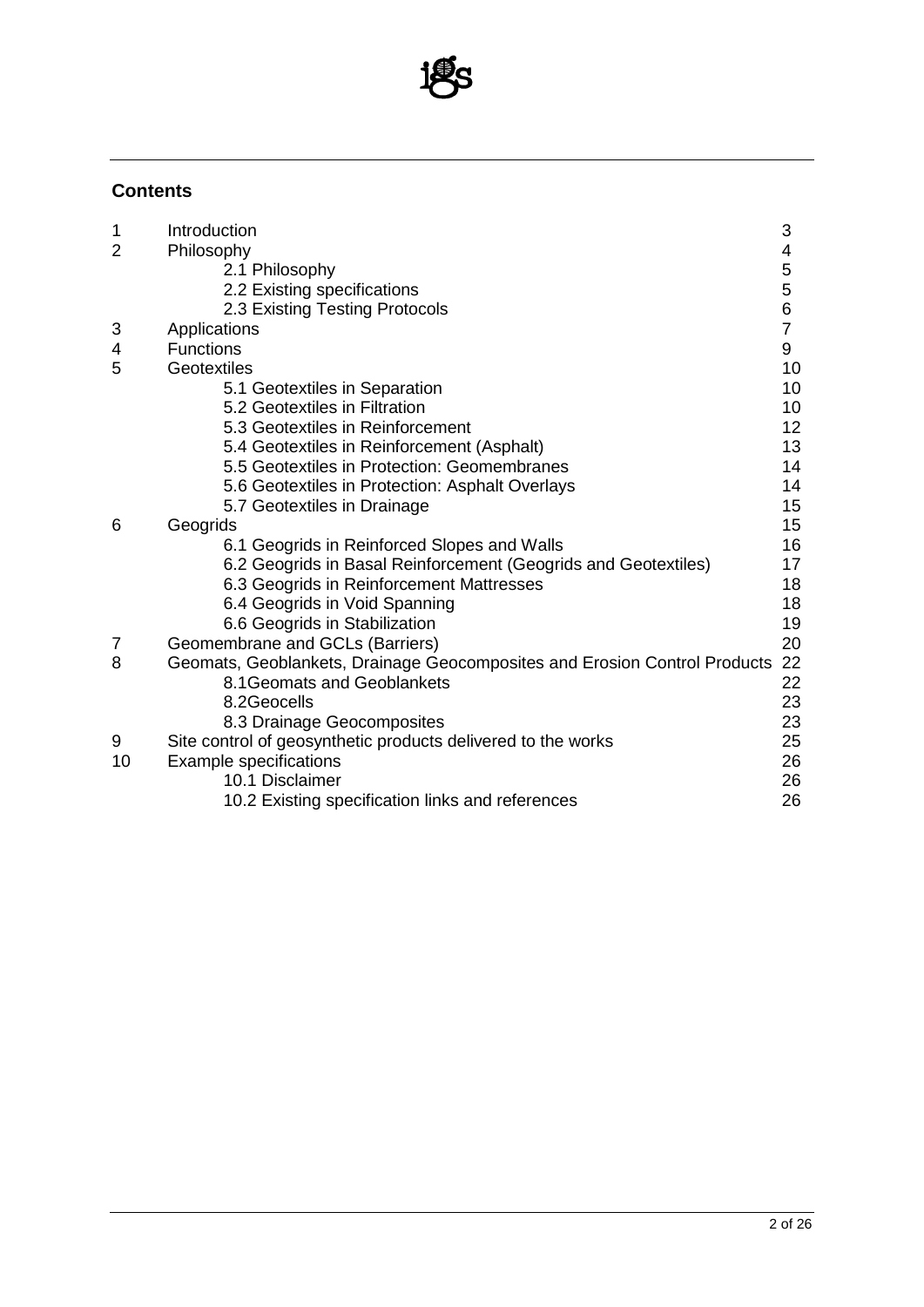

### **Contents**

| 1              | Introduction                                                              | 3              |  |  |  |  |
|----------------|---------------------------------------------------------------------------|----------------|--|--|--|--|
| $\overline{2}$ | Philosophy                                                                | 4              |  |  |  |  |
|                | 2.1 Philosophy                                                            | 5              |  |  |  |  |
|                | 2.2 Existing specifications                                               | 5              |  |  |  |  |
|                | 2.3 Existing Testing Protocols                                            | 6              |  |  |  |  |
| 3              | Applications                                                              | $\overline{7}$ |  |  |  |  |
| 4              | <b>Functions</b>                                                          | 9              |  |  |  |  |
| 5              | Geotextiles                                                               |                |  |  |  |  |
|                | 5.1 Geotextiles in Separation                                             | 10             |  |  |  |  |
|                | 5.2 Geotextiles in Filtration                                             | 10             |  |  |  |  |
|                | 5.3 Geotextiles in Reinforcement                                          | 12             |  |  |  |  |
|                | 5.4 Geotextiles in Reinforcement (Asphalt)                                | 13             |  |  |  |  |
|                | 5.5 Geotextiles in Protection: Geomembranes                               | 14             |  |  |  |  |
|                | 5.6 Geotextiles in Protection: Asphalt Overlays                           | 14             |  |  |  |  |
|                | 5.7 Geotextiles in Drainage                                               | 15             |  |  |  |  |
| 6              | Geogrids                                                                  | 15             |  |  |  |  |
|                | 6.1 Geogrids in Reinforced Slopes and Walls                               | 16             |  |  |  |  |
|                | 6.2 Geogrids in Basal Reinforcement (Geogrids and Geotextiles)            | 17             |  |  |  |  |
|                | 6.3 Geogrids in Reinforcement Mattresses                                  | 18             |  |  |  |  |
|                | 6.4 Geogrids in Void Spanning                                             | 18             |  |  |  |  |
|                | 6.6 Geogrids in Stabilization                                             | 19             |  |  |  |  |
| 7              | Geomembrane and GCLs (Barriers)                                           | 20             |  |  |  |  |
| 8              | Geomats, Geoblankets, Drainage Geocomposites and Erosion Control Products | 22             |  |  |  |  |
|                | 8.1 Geomats and Geoblankets                                               | 22             |  |  |  |  |
|                | 8.2Geocells                                                               | 23             |  |  |  |  |
|                | 8.3 Drainage Geocomposites                                                | 23             |  |  |  |  |
| 9              | Site control of geosynthetic products delivered to the works              | 25             |  |  |  |  |
| 10             | <b>Example specifications</b>                                             | 26             |  |  |  |  |
|                | 10.1 Disclaimer                                                           | 26             |  |  |  |  |
|                | 10.2 Existing specification links and references                          | 26             |  |  |  |  |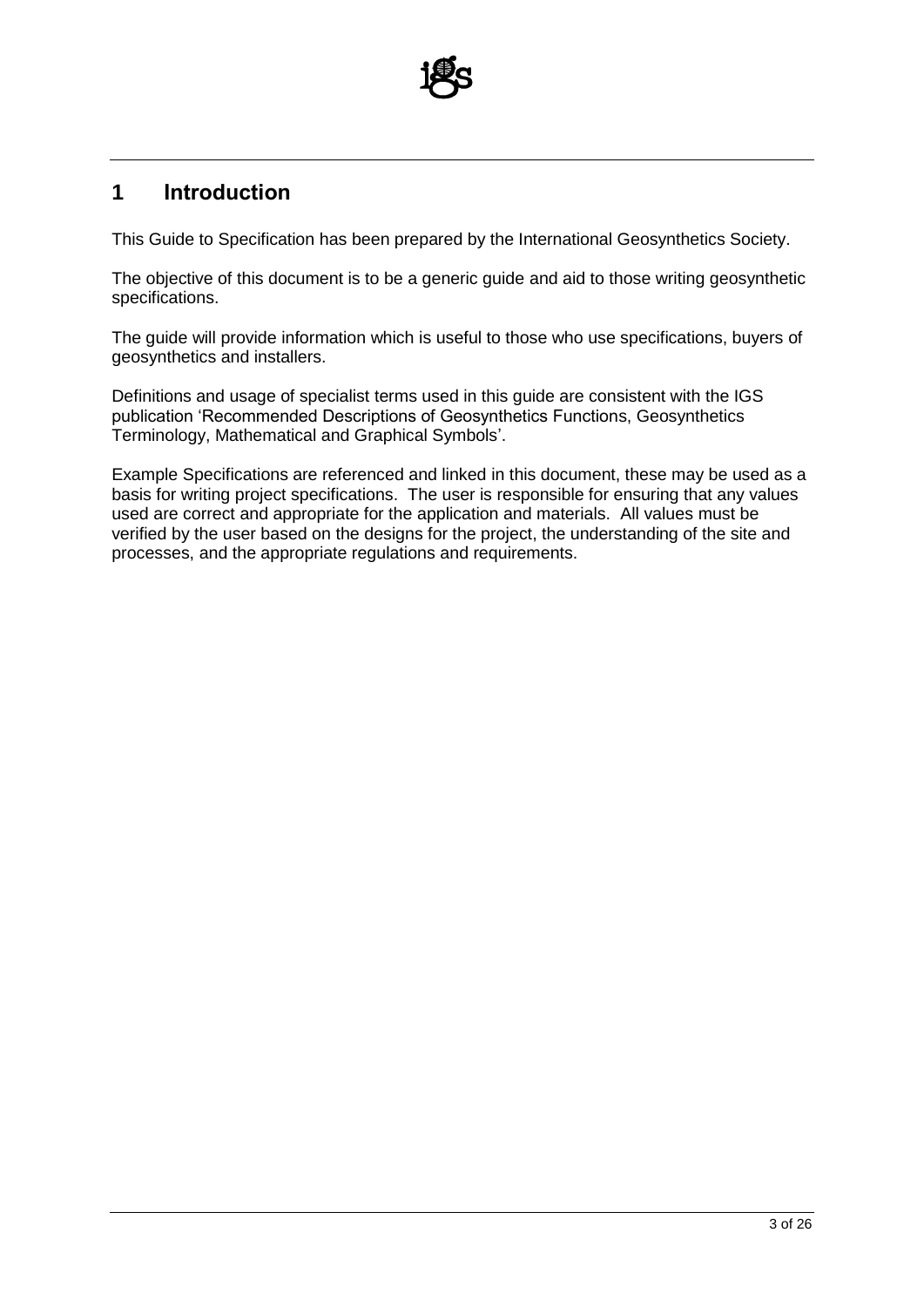

# **1 Introduction**

This Guide to Specification has been prepared by the International Geosynthetics Society.

The objective of this document is to be a generic guide and aid to those writing geosynthetic specifications.

The guide will provide information which is useful to those who use specifications, buyers of geosynthetics and installers.

Definitions and usage of specialist terms used in this guide are consistent with the IGS publication 'Recommended Descriptions of Geosynthetics Functions, Geosynthetics Terminology, Mathematical and Graphical Symbols'.

Example Specifications are referenced and linked in this document, these may be used as a basis for writing project specifications. The user is responsible for ensuring that any values used are correct and appropriate for the application and materials. All values must be verified by the user based on the designs for the project, the understanding of the site and processes, and the appropriate regulations and requirements.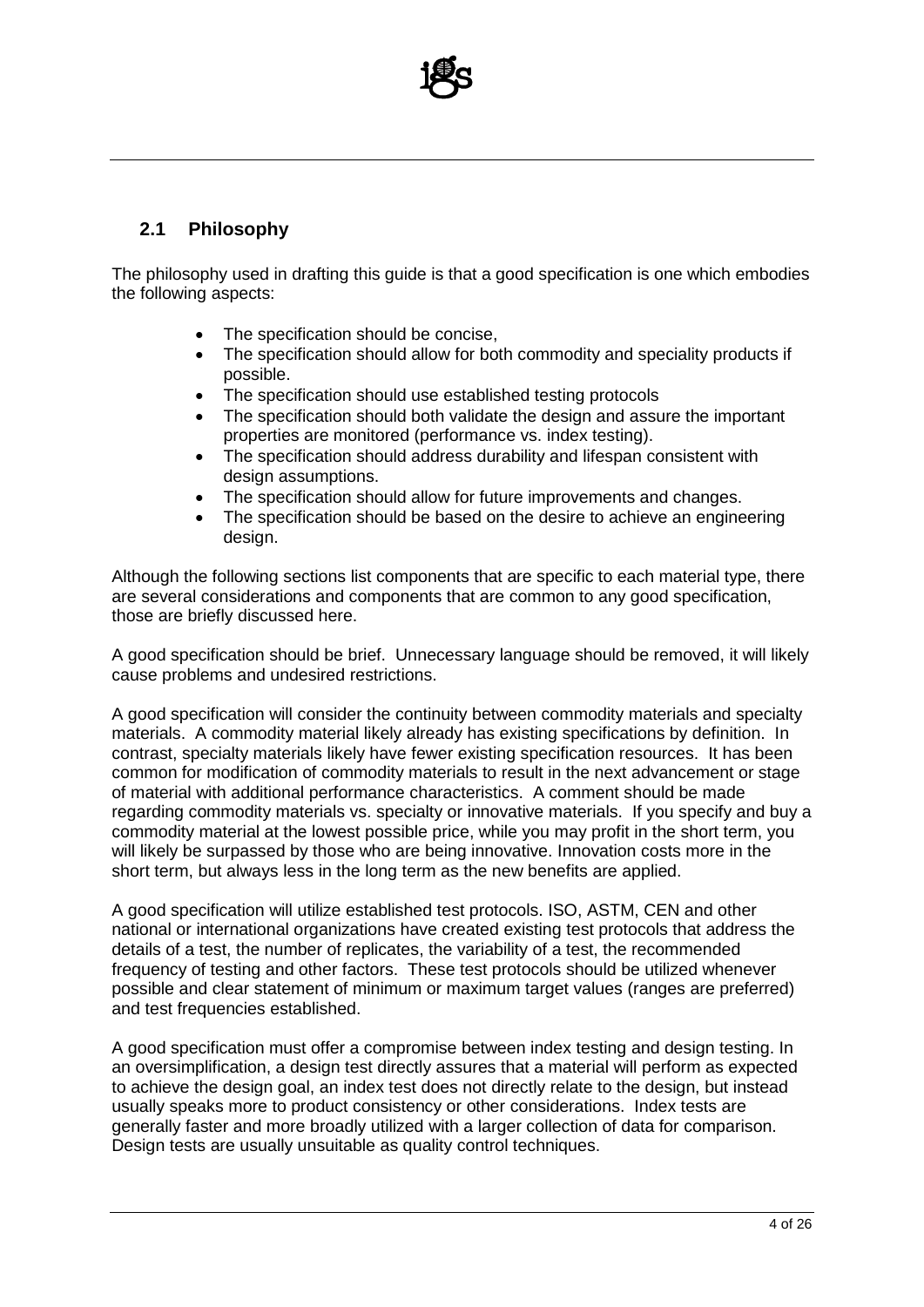

#### **2.1 Philosophy**

The philosophy used in drafting this guide is that a good specification is one which embodies the following aspects:

- The specification should be concise,
- The specification should allow for both commodity and speciality products if possible.
- The specification should use established testing protocols
- The specification should both validate the design and assure the important properties are monitored (performance vs. index testing).
- The specification should address durability and lifespan consistent with design assumptions.
- The specification should allow for future improvements and changes.
- The specification should be based on the desire to achieve an engineering design.

Although the following sections list components that are specific to each material type, there are several considerations and components that are common to any good specification, those are briefly discussed here.

A good specification should be brief. Unnecessary language should be removed, it will likely cause problems and undesired restrictions.

A good specification will consider the continuity between commodity materials and specialty materials. A commodity material likely already has existing specifications by definition. In contrast, specialty materials likely have fewer existing specification resources. It has been common for modification of commodity materials to result in the next advancement or stage of material with additional performance characteristics. A comment should be made regarding commodity materials vs. specialty or innovative materials. If you specify and buy a commodity material at the lowest possible price, while you may profit in the short term, you will likely be surpassed by those who are being innovative. Innovation costs more in the short term, but always less in the long term as the new benefits are applied.

A good specification will utilize established test protocols. ISO, ASTM, CEN and other national or international organizations have created existing test protocols that address the details of a test, the number of replicates, the variability of a test, the recommended frequency of testing and other factors. These test protocols should be utilized whenever possible and clear statement of minimum or maximum target values (ranges are preferred) and test frequencies established.

A good specification must offer a compromise between index testing and design testing. In an oversimplification, a design test directly assures that a material will perform as expected to achieve the design goal, an index test does not directly relate to the design, but instead usually speaks more to product consistency or other considerations. Index tests are generally faster and more broadly utilized with a larger collection of data for comparison. Design tests are usually unsuitable as quality control techniques.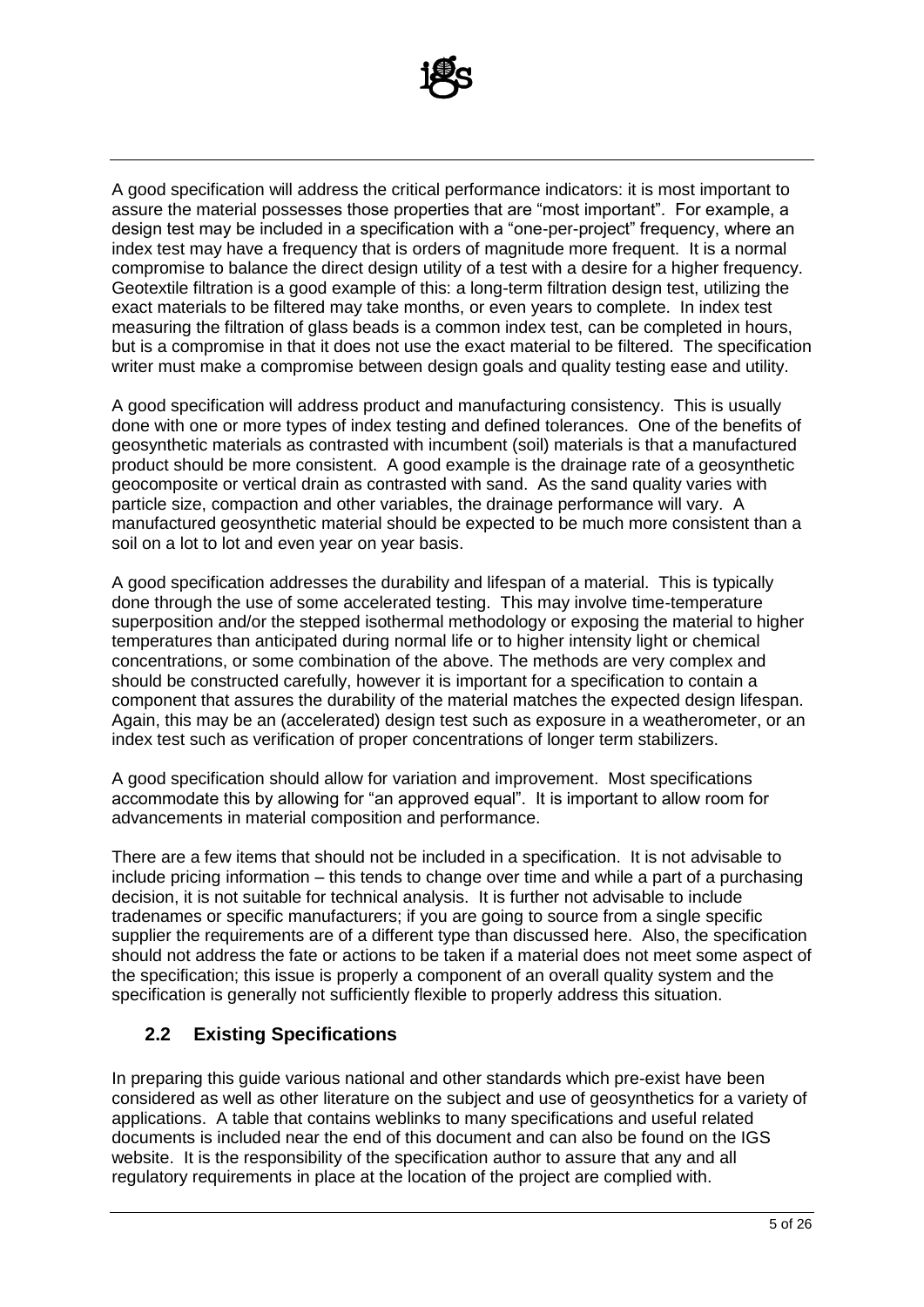

A good specification will address the critical performance indicators: it is most important to assure the material possesses those properties that are "most important". For example, a design test may be included in a specification with a "one-per-project" frequency, where an index test may have a frequency that is orders of magnitude more frequent. It is a normal compromise to balance the direct design utility of a test with a desire for a higher frequency. Geotextile filtration is a good example of this: a long-term filtration design test, utilizing the exact materials to be filtered may take months, or even years to complete. In index test measuring the filtration of glass beads is a common index test, can be completed in hours, but is a compromise in that it does not use the exact material to be filtered. The specification writer must make a compromise between design goals and quality testing ease and utility.

A good specification will address product and manufacturing consistency. This is usually done with one or more types of index testing and defined tolerances. One of the benefits of geosynthetic materials as contrasted with incumbent (soil) materials is that a manufactured product should be more consistent. A good example is the drainage rate of a geosynthetic geocomposite or vertical drain as contrasted with sand. As the sand quality varies with particle size, compaction and other variables, the drainage performance will vary. A manufactured geosynthetic material should be expected to be much more consistent than a soil on a lot to lot and even year on year basis.

A good specification addresses the durability and lifespan of a material. This is typically done through the use of some accelerated testing. This may involve time-temperature superposition and/or the stepped isothermal methodology or exposing the material to higher temperatures than anticipated during normal life or to higher intensity light or chemical concentrations, or some combination of the above. The methods are very complex and should be constructed carefully, however it is important for a specification to contain a component that assures the durability of the material matches the expected design lifespan. Again, this may be an (accelerated) design test such as exposure in a weatherometer, or an index test such as verification of proper concentrations of longer term stabilizers.

A good specification should allow for variation and improvement. Most specifications accommodate this by allowing for "an approved equal". It is important to allow room for advancements in material composition and performance.

There are a few items that should not be included in a specification. It is not advisable to include pricing information – this tends to change over time and while a part of a purchasing decision, it is not suitable for technical analysis. It is further not advisable to include tradenames or specific manufacturers; if you are going to source from a single specific supplier the requirements are of a different type than discussed here. Also, the specification should not address the fate or actions to be taken if a material does not meet some aspect of the specification; this issue is properly a component of an overall quality system and the specification is generally not sufficiently flexible to properly address this situation.

#### **2.2 Existing Specifications**

In preparing this guide various national and other standards which pre-exist have been considered as well as other literature on the subject and use of geosynthetics for a variety of applications. A table that contains weblinks to many specifications and useful related documents is included near the end of this document and can also be found on the IGS website. It is the responsibility of the specification author to assure that any and all regulatory requirements in place at the location of the project are complied with.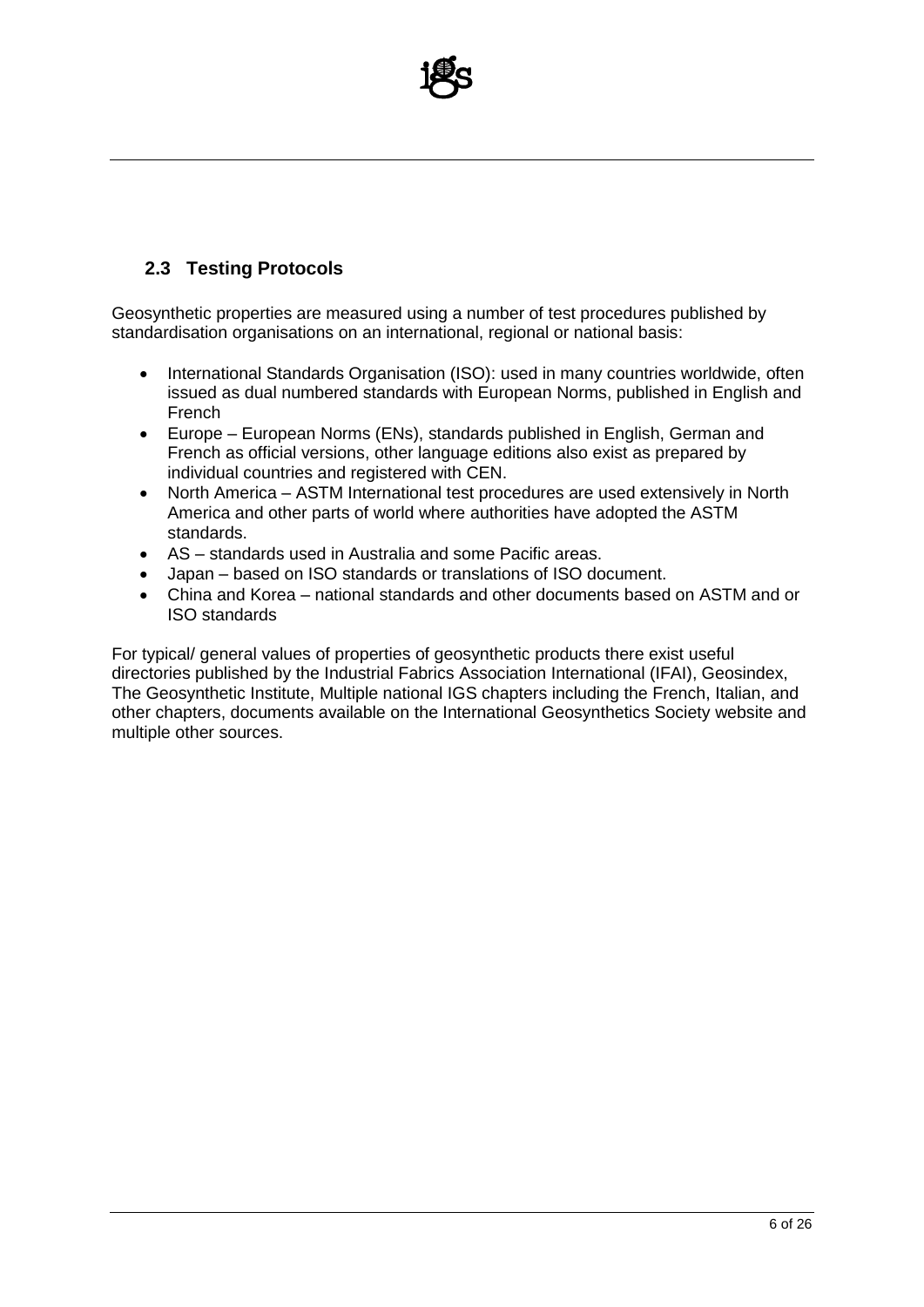

#### **2.3 Testing Protocols**

Geosynthetic properties are measured using a number of test procedures published by standardisation organisations on an international, regional or national basis:

- International Standards Organisation (ISO): used in many countries worldwide, often issued as dual numbered standards with European Norms, published in English and French
- Europe European Norms (ENs), standards published in English, German and French as official versions, other language editions also exist as prepared by individual countries and registered with CEN.
- North America ASTM International test procedures are used extensively in North America and other parts of world where authorities have adopted the ASTM standards.
- AS standards used in Australia and some Pacific areas.
- Japan based on ISO standards or translations of ISO document.
- China and Korea national standards and other documents based on ASTM and or ISO standards

For typical/ general values of properties of geosynthetic products there exist useful directories published by the Industrial Fabrics Association International (IFAI), Geosindex, The Geosynthetic Institute, Multiple national IGS chapters including the French, Italian, and other chapters, documents available on the International Geosynthetics Society website and multiple other sources.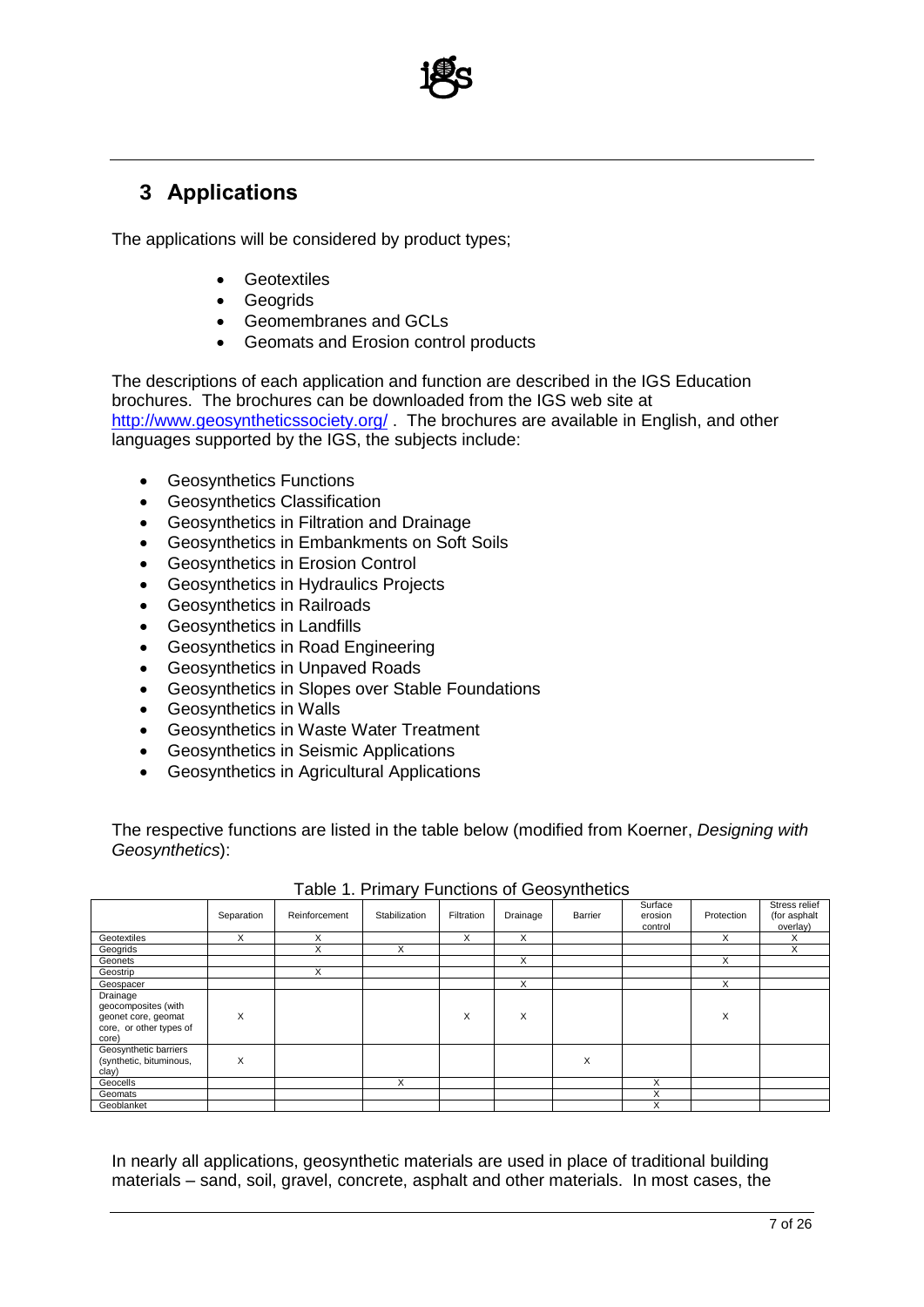

# **3 Applications**

The applications will be considered by product types;

- Geotextiles
- Geogrids
- Geomembranes and GCLs
- Geomats and Erosion control products

The descriptions of each application and function are described in the IGS Education brochures. The brochures can be downloaded from the IGS web site at <http://www.geosyntheticssociety.org/> . The brochures are available in English, and other languages supported by the IGS, the subjects include:

- Geosynthetics Functions
- Geosynthetics Classification
- Geosynthetics in Filtration and Drainage
- Geosynthetics in Embankments on Soft Soils
- Geosynthetics in Erosion Control
- Geosynthetics in Hydraulics Projects
- Geosynthetics in Railroads
- Geosynthetics in Landfills
- Geosynthetics in Road Engineering
- Geosynthetics in Unpaved Roads
- Geosynthetics in Slopes over Stable Foundations
- Geosynthetics in Walls
- Geosynthetics in Waste Water Treatment
- Geosynthetics in Seismic Applications
- Geosynthetics in Agricultural Applications

The respective functions are listed in the table below (modified from Koerner, *Designing with Geosynthetics*):

| $1.0000$ $1.1111100$ $1.10110000$ $0.00000$ $0.0000$                                       |            |               |               |            |          |         |                               |            |                                           |  |  |  |
|--------------------------------------------------------------------------------------------|------------|---------------|---------------|------------|----------|---------|-------------------------------|------------|-------------------------------------------|--|--|--|
|                                                                                            | Separation | Reinforcement | Stabilization | Filtration | Drainage | Barrier | Surface<br>erosion<br>control | Protection | Stress relief<br>(for asphalt<br>overlay) |  |  |  |
| Geotextiles                                                                                | X          | X             |               | X          | X        |         |                               | X          | X                                         |  |  |  |
| Geogrids                                                                                   |            | X             | X             |            |          |         |                               |            | X                                         |  |  |  |
| Geonets                                                                                    |            |               |               |            | X        |         |                               | X          |                                           |  |  |  |
| Geostrip                                                                                   |            | X             |               |            |          |         |                               |            |                                           |  |  |  |
| Geospacer                                                                                  |            |               |               |            | X        |         |                               | X          |                                           |  |  |  |
| Drainage<br>geocomposites (with<br>geonet core, geomat<br>core, or other types of<br>core) | X          |               |               | X          | X        |         |                               | X          |                                           |  |  |  |
| Geosynthetic barriers<br>(synthetic, bituminous,<br>clay)                                  | X          |               |               |            |          | X       |                               |            |                                           |  |  |  |
| Geocells                                                                                   |            |               | X             |            |          |         | X                             |            |                                           |  |  |  |
| Geomats                                                                                    |            |               |               |            |          |         | X                             |            |                                           |  |  |  |
| Geoblanket                                                                                 |            |               |               |            |          |         | X                             |            |                                           |  |  |  |

#### Table 1. Primary Functions of Geosynthetics

In nearly all applications, geosynthetic materials are used in place of traditional building materials – sand, soil, gravel, concrete, asphalt and other materials. In most cases, the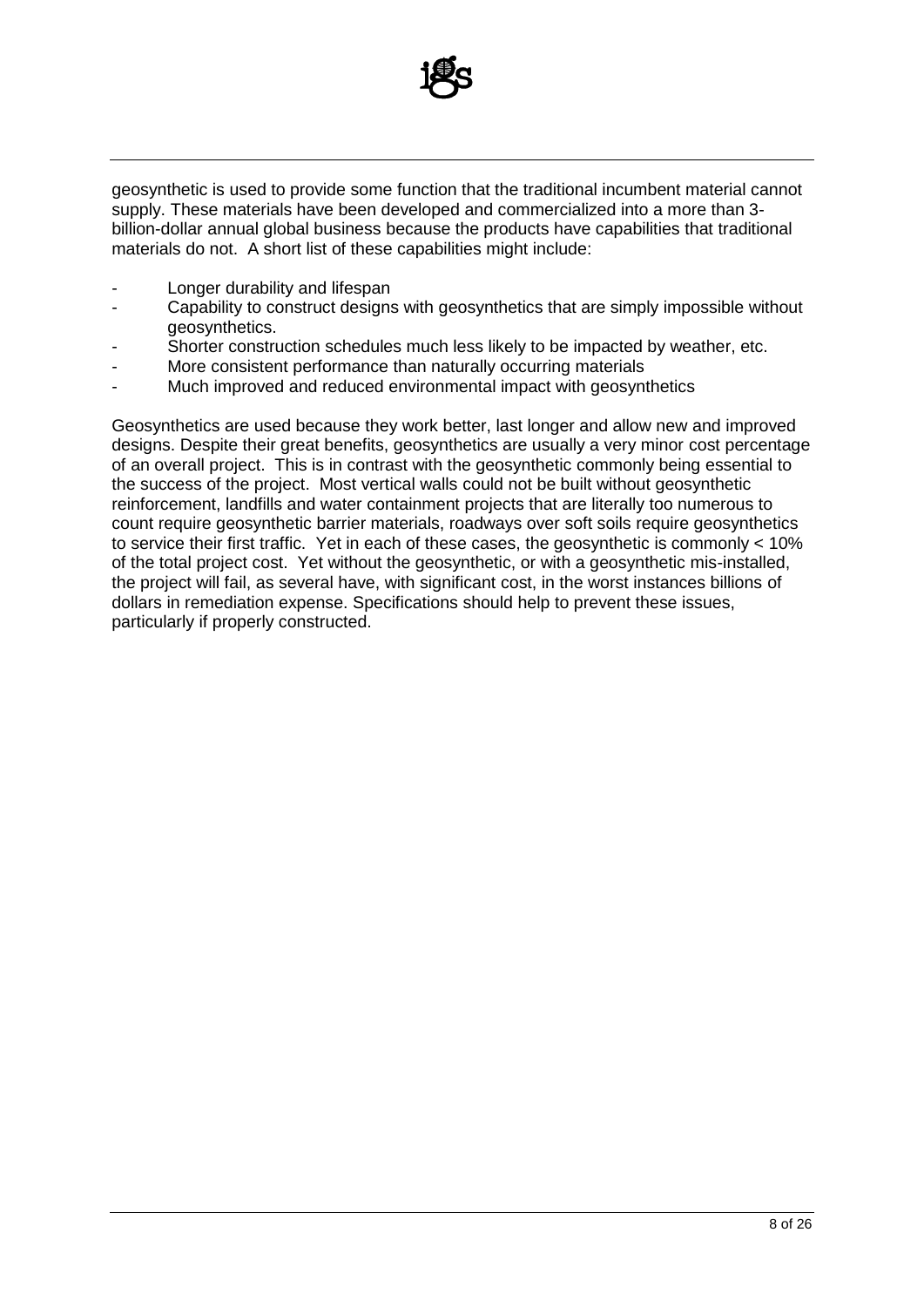

geosynthetic is used to provide some function that the traditional incumbent material cannot supply. These materials have been developed and commercialized into a more than 3 billion-dollar annual global business because the products have capabilities that traditional materials do not. A short list of these capabilities might include:

- Longer durability and lifespan
- Capability to construct designs with geosynthetics that are simply impossible without geosynthetics.
- Shorter construction schedules much less likely to be impacted by weather, etc.
- More consistent performance than naturally occurring materials
- Much improved and reduced environmental impact with geosynthetics

Geosynthetics are used because they work better, last longer and allow new and improved designs. Despite their great benefits, geosynthetics are usually a very minor cost percentage of an overall project. This is in contrast with the geosynthetic commonly being essential to the success of the project. Most vertical walls could not be built without geosynthetic reinforcement, landfills and water containment projects that are literally too numerous to count require geosynthetic barrier materials, roadways over soft soils require geosynthetics to service their first traffic. Yet in each of these cases, the geosynthetic is commonly < 10% of the total project cost. Yet without the geosynthetic, or with a geosynthetic mis-installed, the project will fail, as several have, with significant cost, in the worst instances billions of dollars in remediation expense. Specifications should help to prevent these issues, particularly if properly constructed.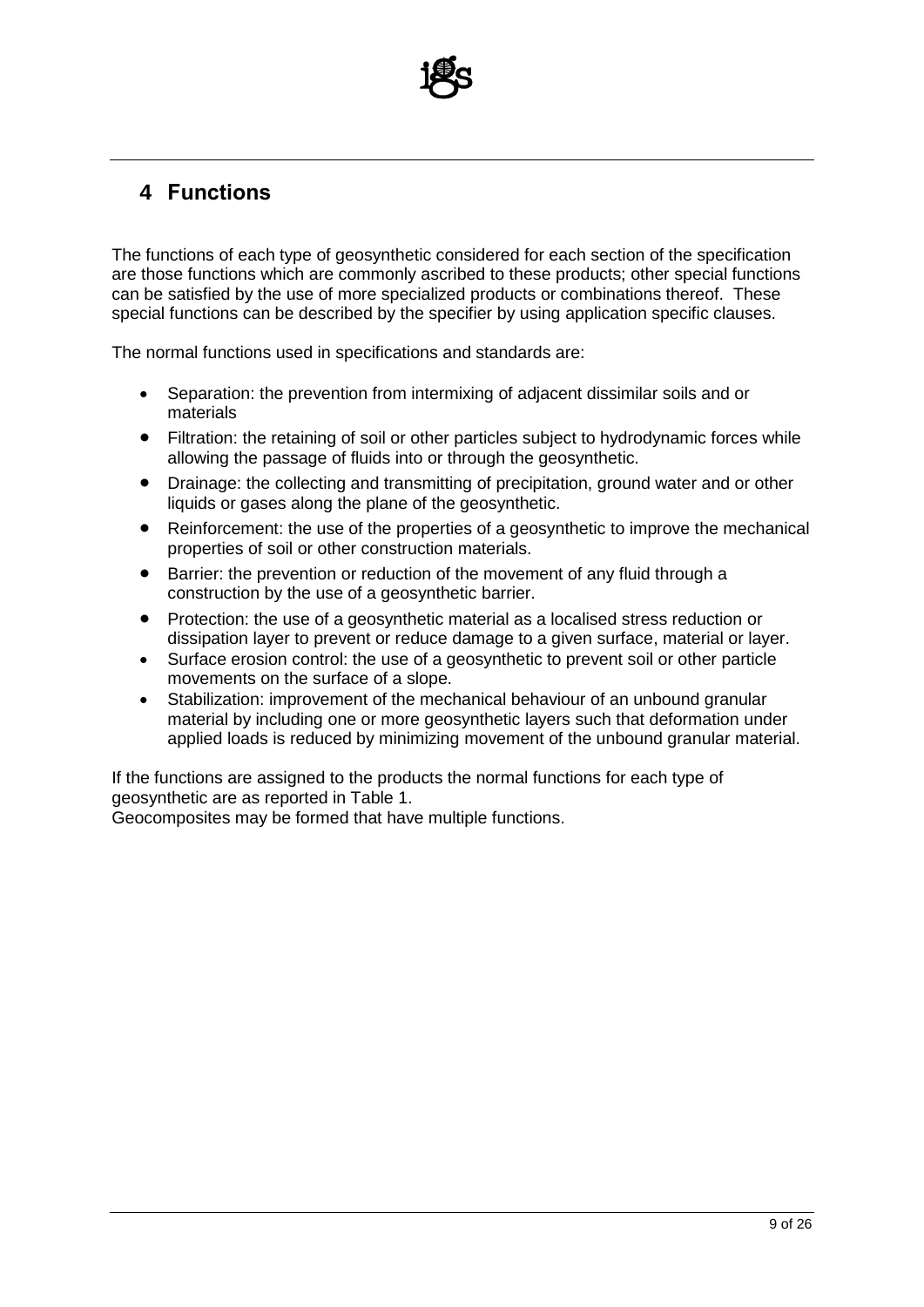

# **4 Functions**

The functions of each type of geosynthetic considered for each section of the specification are those functions which are commonly ascribed to these products; other special functions can be satisfied by the use of more specialized products or combinations thereof. These special functions can be described by the specifier by using application specific clauses.

The normal functions used in specifications and standards are:

- Separation: the prevention from intermixing of adjacent dissimilar soils and or materials
- Filtration: the retaining of soil or other particles subject to hydrodynamic forces while allowing the passage of fluids into or through the geosynthetic.
- Drainage: the collecting and transmitting of precipitation, ground water and or other liquids or gases along the plane of the geosynthetic.
- Reinforcement: the use of the properties of a geosynthetic to improve the mechanical properties of soil or other construction materials.
- Barrier: the prevention or reduction of the movement of any fluid through a construction by the use of a geosynthetic barrier.
- Protection: the use of a geosynthetic material as a localised stress reduction or dissipation layer to prevent or reduce damage to a given surface, material or layer.
- Surface erosion control: the use of a geosynthetic to prevent soil or other particle movements on the surface of a slope.
- Stabilization: improvement of the mechanical behaviour of an unbound granular material by including one or more geosynthetic layers such that deformation under applied loads is reduced by minimizing movement of the unbound granular material.

If the functions are assigned to the products the normal functions for each type of geosynthetic are as reported in Table 1.

Geocomposites may be formed that have multiple functions.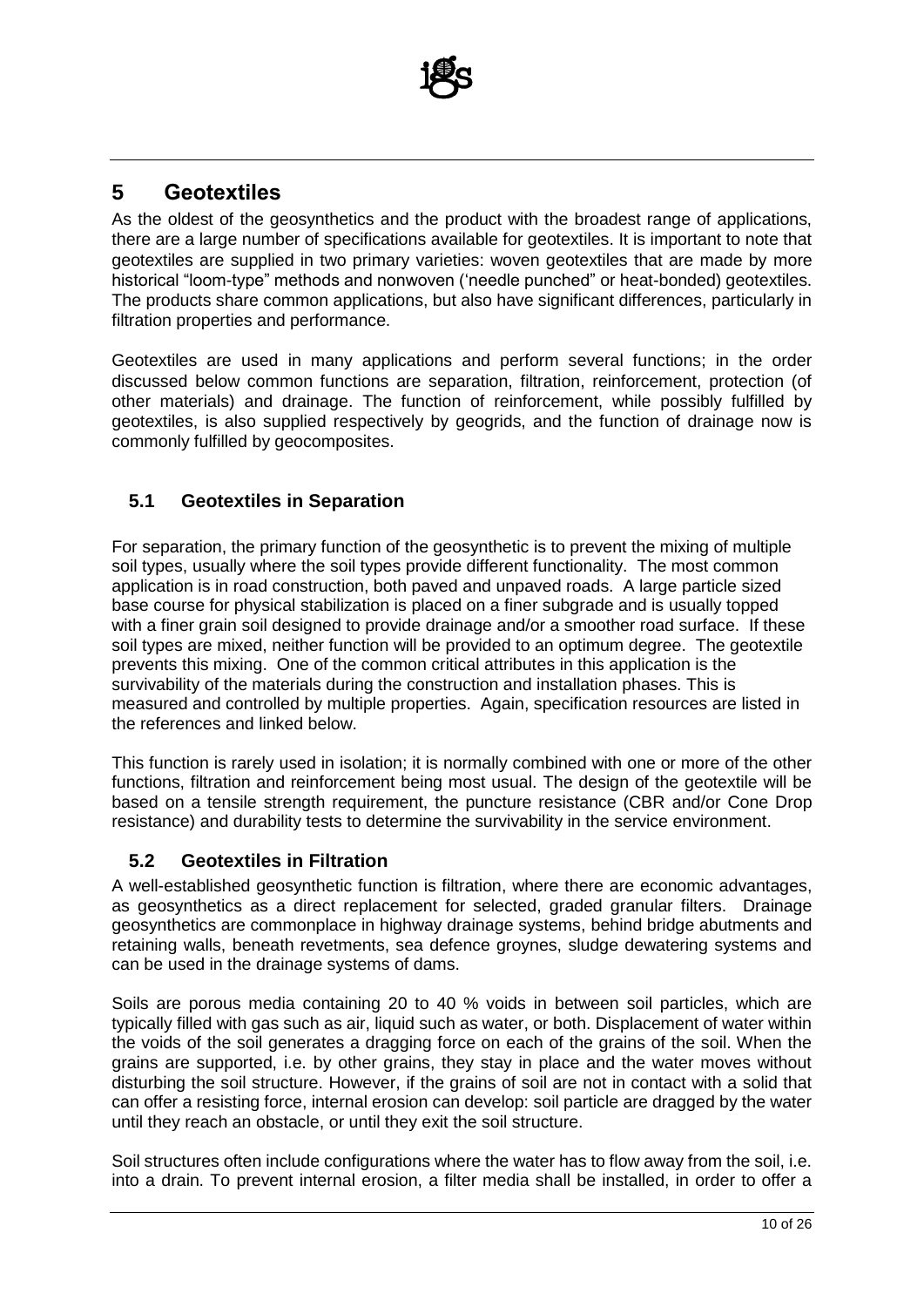

# **5 Geotextiles**

As the oldest of the geosynthetics and the product with the broadest range of applications, there are a large number of specifications available for geotextiles. It is important to note that geotextiles are supplied in two primary varieties: woven geotextiles that are made by more historical "loom-type" methods and nonwoven ('needle punched" or heat-bonded) geotextiles. The products share common applications, but also have significant differences, particularly in filtration properties and performance.

Geotextiles are used in many applications and perform several functions; in the order discussed below common functions are separation, filtration, reinforcement, protection (of other materials) and drainage. The function of reinforcement, while possibly fulfilled by geotextiles, is also supplied respectively by geogrids, and the function of drainage now is commonly fulfilled by geocomposites.

#### **5.1 Geotextiles in Separation**

For separation, the primary function of the geosynthetic is to prevent the mixing of multiple soil types, usually where the soil types provide different functionality. The most common application is in road construction, both paved and unpaved roads. A large particle sized base course for physical stabilization is placed on a finer subgrade and is usually topped with a finer grain soil designed to provide drainage and/or a smoother road surface. If these soil types are mixed, neither function will be provided to an optimum degree. The geotextile prevents this mixing. One of the common critical attributes in this application is the survivability of the materials during the construction and installation phases. This is measured and controlled by multiple properties. Again, specification resources are listed in the references and linked below.

This function is rarely used in isolation; it is normally combined with one or more of the other functions, filtration and reinforcement being most usual. The design of the geotextile will be based on a tensile strength requirement, the puncture resistance (CBR and/or Cone Drop resistance) and durability tests to determine the survivability in the service environment.

#### **5.2 Geotextiles in Filtration**

A well-established geosynthetic function is filtration, where there are economic advantages, as geosynthetics as a direct replacement for selected, graded granular filters. Drainage geosynthetics are commonplace in highway drainage systems, behind bridge abutments and retaining walls, beneath revetments, sea defence groynes, sludge dewatering systems and can be used in the drainage systems of dams.

Soils are porous media containing 20 to 40 % voids in between soil particles, which are typically filled with gas such as air, liquid such as water, or both. Displacement of water within the voids of the soil generates a dragging force on each of the grains of the soil. When the grains are supported, i.e. by other grains, they stay in place and the water moves without disturbing the soil structure. However, if the grains of soil are not in contact with a solid that can offer a resisting force, internal erosion can develop: soil particle are dragged by the water until they reach an obstacle, or until they exit the soil structure.

Soil structures often include configurations where the water has to flow away from the soil, i.e. into a drain. To prevent internal erosion, a filter media shall be installed, in order to offer a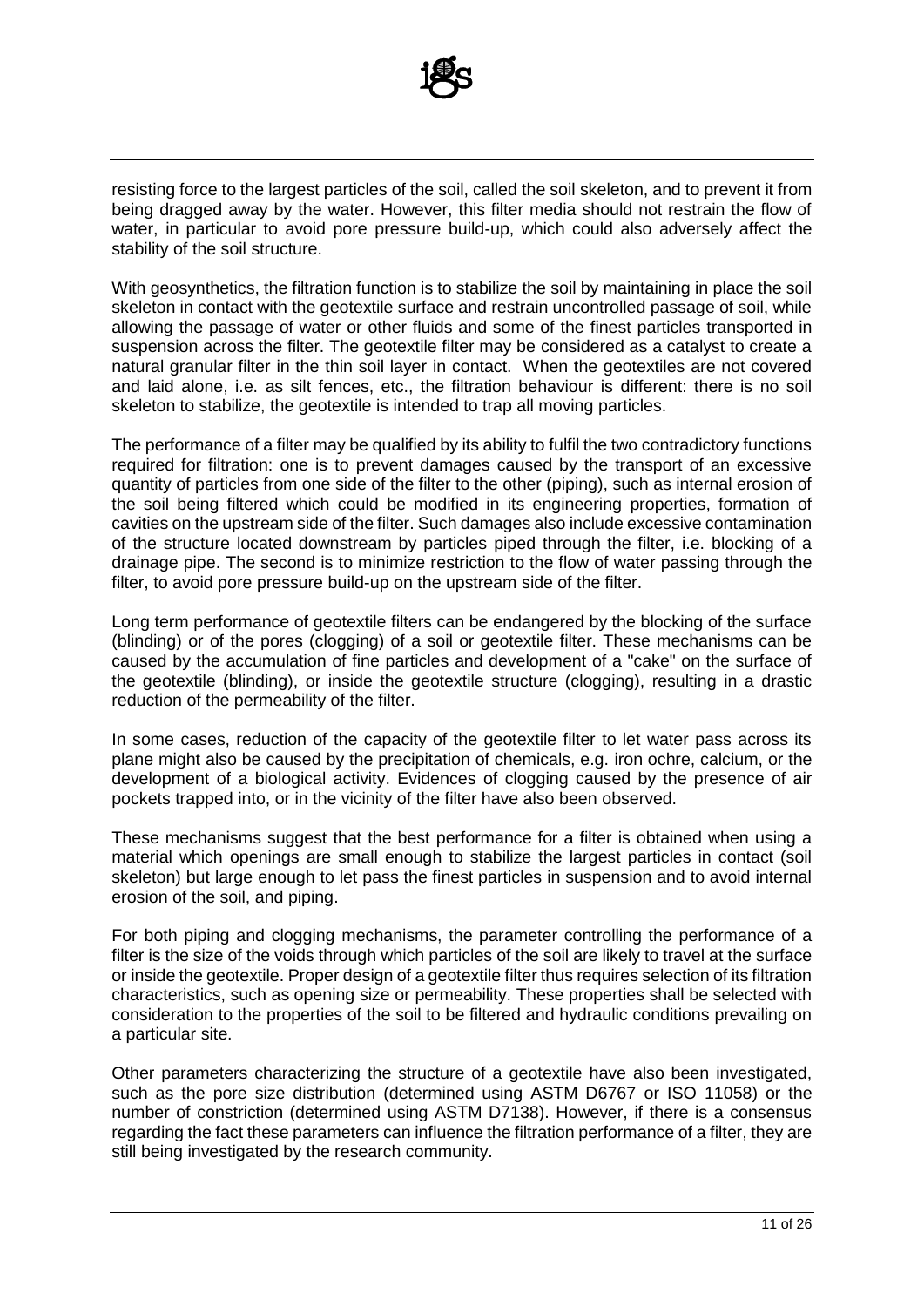

resisting force to the largest particles of the soil, called the soil skeleton, and to prevent it from being dragged away by the water. However, this filter media should not restrain the flow of water, in particular to avoid pore pressure build-up, which could also adversely affect the stability of the soil structure.

With geosynthetics, the filtration function is to stabilize the soil by maintaining in place the soil skeleton in contact with the geotextile surface and restrain uncontrolled passage of soil, while allowing the passage of water or other fluids and some of the finest particles transported in suspension across the filter. The geotextile filter may be considered as a catalyst to create a natural granular filter in the thin soil layer in contact. When the geotextiles are not covered and laid alone, i.e. as silt fences, etc., the filtration behaviour is different: there is no soil skeleton to stabilize, the geotextile is intended to trap all moving particles.

The performance of a filter may be qualified by its ability to fulfil the two contradictory functions required for filtration: one is to prevent damages caused by the transport of an excessive quantity of particles from one side of the filter to the other (piping), such as internal erosion of the soil being filtered which could be modified in its engineering properties, formation of cavities on the upstream side of the filter. Such damages also include excessive contamination of the structure located downstream by particles piped through the filter, i.e. blocking of a drainage pipe. The second is to minimize restriction to the flow of water passing through the filter, to avoid pore pressure build-up on the upstream side of the filter.

Long term performance of geotextile filters can be endangered by the blocking of the surface (blinding) or of the pores (clogging) of a soil or geotextile filter. These mechanisms can be caused by the accumulation of fine particles and development of a "cake" on the surface of the geotextile (blinding), or inside the geotextile structure (clogging), resulting in a drastic reduction of the permeability of the filter.

In some cases, reduction of the capacity of the geotextile filter to let water pass across its plane might also be caused by the precipitation of chemicals, e.g. iron ochre, calcium, or the development of a biological activity. Evidences of clogging caused by the presence of air pockets trapped into, or in the vicinity of the filter have also been observed.

These mechanisms suggest that the best performance for a filter is obtained when using a material which openings are small enough to stabilize the largest particles in contact (soil skeleton) but large enough to let pass the finest particles in suspension and to avoid internal erosion of the soil, and piping.

For both piping and clogging mechanisms, the parameter controlling the performance of a filter is the size of the voids through which particles of the soil are likely to travel at the surface or inside the geotextile. Proper design of a geotextile filter thus requires selection of its filtration characteristics, such as opening size or permeability. These properties shall be selected with consideration to the properties of the soil to be filtered and hydraulic conditions prevailing on a particular site.

Other parameters characterizing the structure of a geotextile have also been investigated, such as the pore size distribution (determined using ASTM D6767 or ISO 11058) or the number of constriction (determined using ASTM D7138). However, if there is a consensus regarding the fact these parameters can influence the filtration performance of a filter, they are still being investigated by the research community.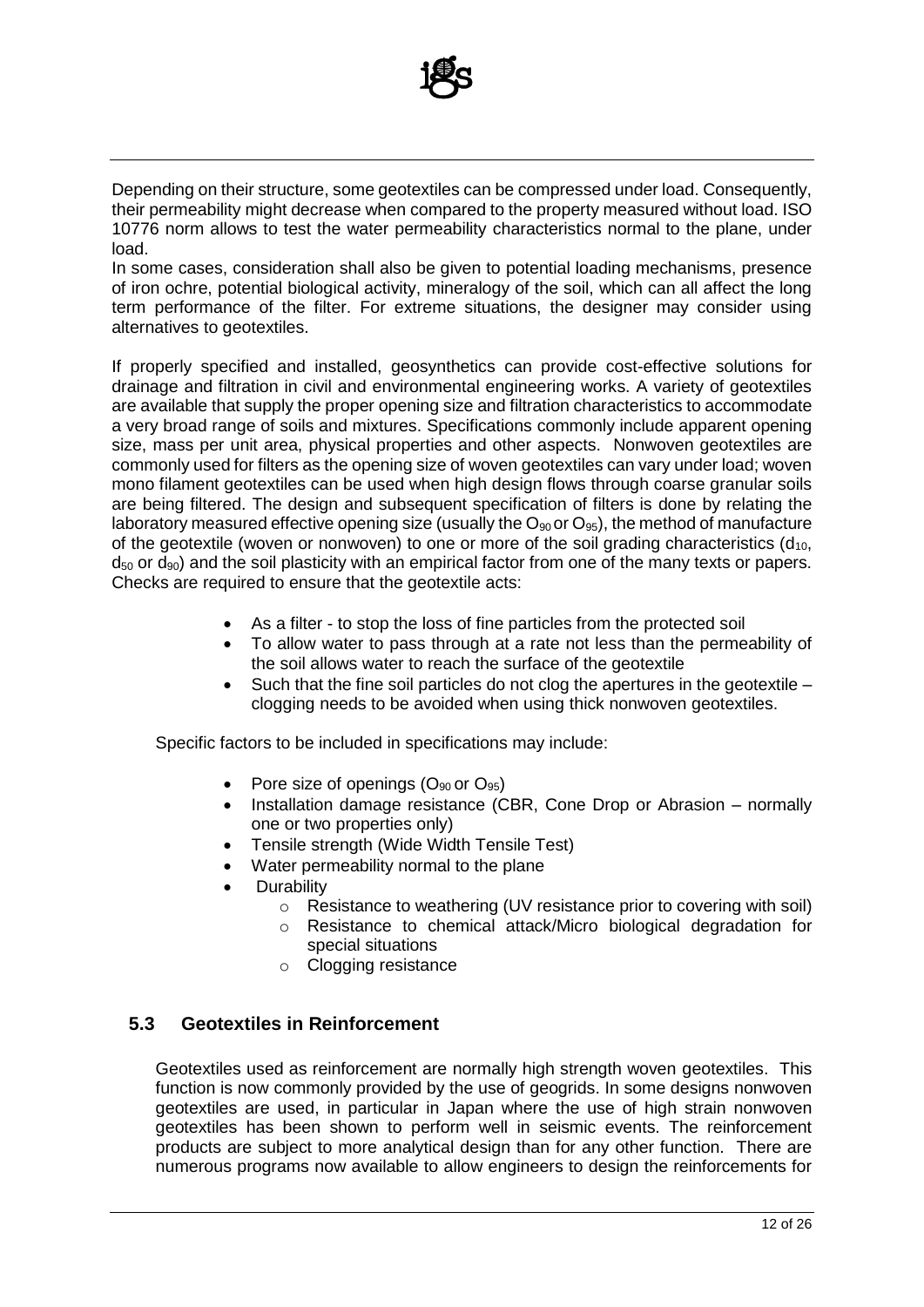

Depending on their structure, some geotextiles can be compressed under load. Consequently, their permeability might decrease when compared to the property measured without load. ISO 10776 norm allows to test the water permeability characteristics normal to the plane, under load.

In some cases, consideration shall also be given to potential loading mechanisms, presence of iron ochre, potential biological activity, mineralogy of the soil, which can all affect the long term performance of the filter. For extreme situations, the designer may consider using alternatives to geotextiles.

If properly specified and installed, geosynthetics can provide cost-effective solutions for drainage and filtration in civil and environmental engineering works. A variety of geotextiles are available that supply the proper opening size and filtration characteristics to accommodate a very broad range of soils and mixtures. Specifications commonly include apparent opening size, mass per unit area, physical properties and other aspects. Nonwoven geotextiles are commonly used for filters as the opening size of woven geotextiles can vary under load; woven mono filament geotextiles can be used when high design flows through coarse granular soils are being filtered. The design and subsequent specification of filters is done by relating the laboratory measured effective opening size (usually the  $O_{90}$  or  $O_{95}$ ), the method of manufacture of the geotextile (woven or nonwoven) to one or more of the soil grading characteristics  $(d_{10}$ ,  $d_{50}$  or  $d_{90}$ ) and the soil plasticity with an empirical factor from one of the many texts or papers. Checks are required to ensure that the geotextile acts:

- As a filter to stop the loss of fine particles from the protected soil
- To allow water to pass through at a rate not less than the permeability of the soil allows water to reach the surface of the geotextile
- Such that the fine soil particles do not clog the apertures in the geotextile clogging needs to be avoided when using thick nonwoven geotextiles.

Specific factors to be included in specifications may include:

- Pore size of openings  $(O_{90}$  or  $O_{95})$
- Installation damage resistance (CBR, Cone Drop or Abrasion normally one or two properties only)
- Tensile strength (Wide Width Tensile Test)
- Water permeability normal to the plane
- **Durability** 
	- o Resistance to weathering (UV resistance prior to covering with soil)
	- o Resistance to chemical attack/Micro biological degradation for special situations
	- o Clogging resistance

#### **5.3 Geotextiles in Reinforcement**

Geotextiles used as reinforcement are normally high strength woven geotextiles. This function is now commonly provided by the use of geogrids. In some designs nonwoven geotextiles are used, in particular in Japan where the use of high strain nonwoven geotextiles has been shown to perform well in seismic events. The reinforcement products are subject to more analytical design than for any other function. There are numerous programs now available to allow engineers to design the reinforcements for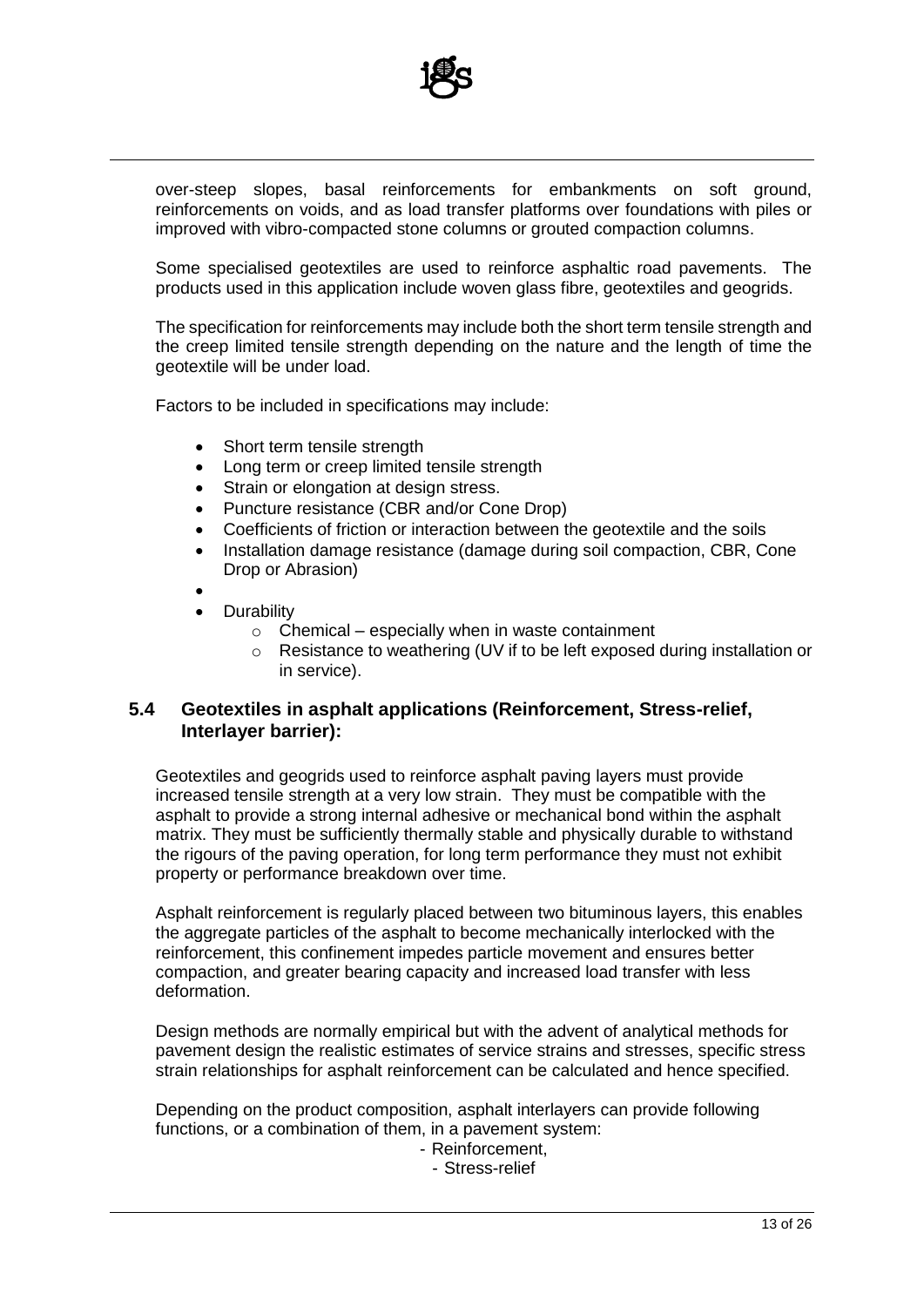

over-steep slopes, basal reinforcements for embankments on soft ground, reinforcements on voids, and as load transfer platforms over foundations with piles or improved with vibro-compacted stone columns or grouted compaction columns.

Some specialised geotextiles are used to reinforce asphaltic road pavements. The products used in this application include woven glass fibre, geotextiles and geogrids.

The specification for reinforcements may include both the short term tensile strength and the creep limited tensile strength depending on the nature and the length of time the geotextile will be under load.

Factors to be included in specifications may include:

- Short term tensile strength
- Long term or creep limited tensile strength
- Strain or elongation at design stress.
- Puncture resistance (CBR and/or Cone Drop)
- Coefficients of friction or interaction between the geotextile and the soils
- Installation damage resistance (damage during soil compaction, CBR, Cone Drop or Abrasion)
- •
- **Durability** 
	- $\circ$  Chemical especially when in waste containment
	- o Resistance to weathering (UV if to be left exposed during installation or in service).

#### **5.4 Geotextiles in asphalt applications (Reinforcement, Stress-relief, Interlayer barrier):**

Geotextiles and geogrids used to reinforce asphalt paving layers must provide increased tensile strength at a very low strain. They must be compatible with the asphalt to provide a strong internal adhesive or mechanical bond within the asphalt matrix. They must be sufficiently thermally stable and physically durable to withstand the rigours of the paving operation, for long term performance they must not exhibit property or performance breakdown over time.

Asphalt reinforcement is regularly placed between two bituminous layers, this enables the aggregate particles of the asphalt to become mechanically interlocked with the reinforcement, this confinement impedes particle movement and ensures better compaction, and greater bearing capacity and increased load transfer with less deformation.

Design methods are normally empirical but with the advent of analytical methods for pavement design the realistic estimates of service strains and stresses, specific stress strain relationships for asphalt reinforcement can be calculated and hence specified.

Depending on the product composition, asphalt interlayers can provide following functions, or a combination of them, in a pavement system:

- Reinforcement,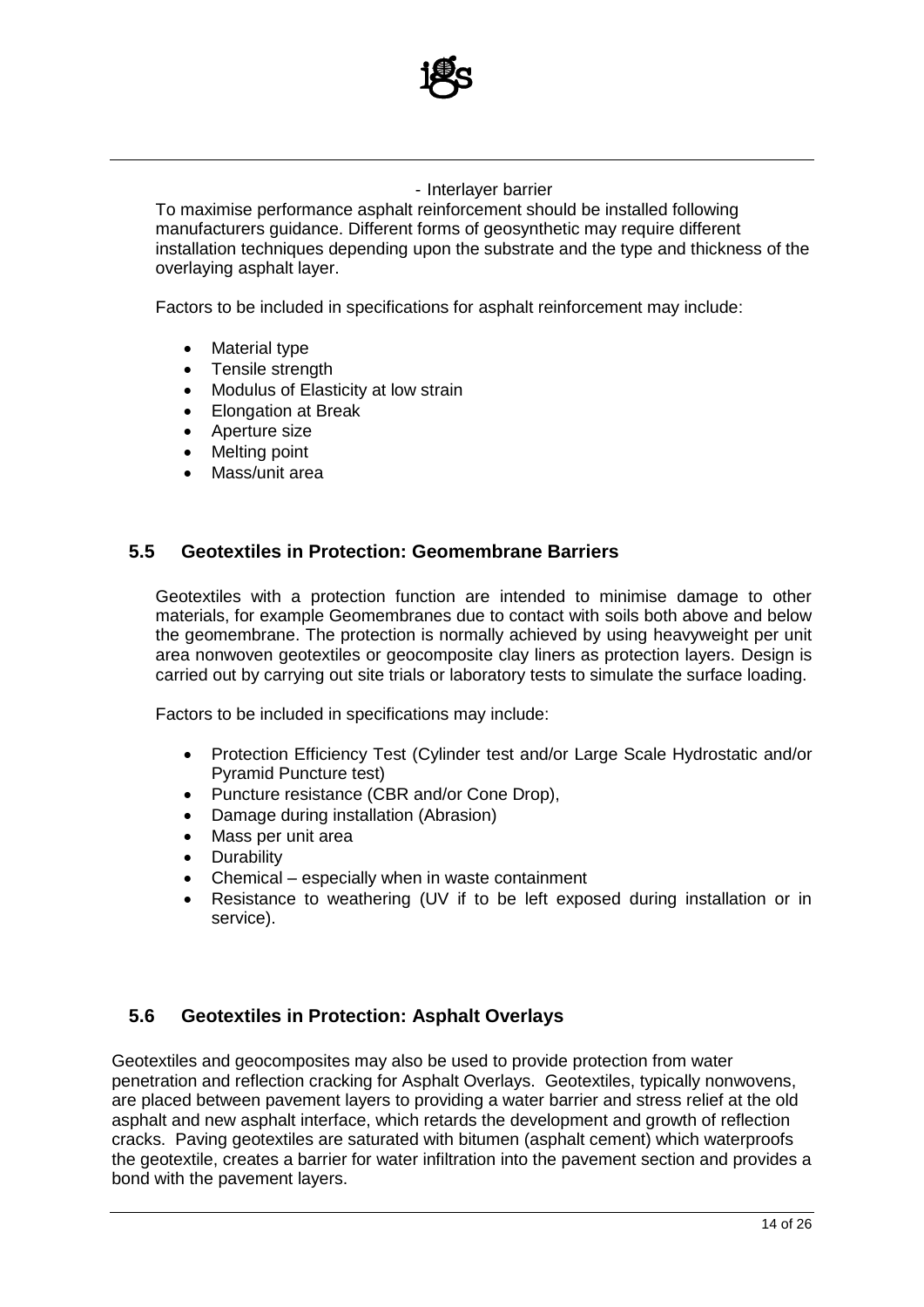

#### - Interlayer barrier

To maximise performance asphalt reinforcement should be installed following manufacturers guidance. Different forms of geosynthetic may require different installation techniques depending upon the substrate and the type and thickness of the overlaying asphalt layer.

Factors to be included in specifications for asphalt reinforcement may include:

- Material type
- Tensile strength
- Modulus of Elasticity at low strain
- Elongation at Break
- Aperture size
- Melting point
- Mass/unit area

#### **5.5 Geotextiles in Protection: Geomembrane Barriers**

Geotextiles with a protection function are intended to minimise damage to other materials, for example Geomembranes due to contact with soils both above and below the geomembrane. The protection is normally achieved by using heavyweight per unit area nonwoven geotextiles or geocomposite clay liners as protection layers. Design is carried out by carrying out site trials or laboratory tests to simulate the surface loading.

Factors to be included in specifications may include:

- Protection Efficiency Test (Cylinder test and/or Large Scale Hydrostatic and/or Pyramid Puncture test)
- Puncture resistance (CBR and/or Cone Drop),
- Damage during installation (Abrasion)
- Mass per unit area
- Durability
- Chemical especially when in waste containment
- Resistance to weathering (UV if to be left exposed during installation or in service).

#### **5.6 Geotextiles in Protection: Asphalt Overlays**

Geotextiles and geocomposites may also be used to provide protection from water penetration and reflection cracking for Asphalt Overlays. Geotextiles, typically nonwovens, are placed between pavement layers to providing a water barrier and stress relief at the old asphalt and new asphalt interface, which retards the development and growth of reflection cracks. Paving geotextiles are saturated with bitumen (asphalt cement) which waterproofs the geotextile, creates a barrier for water infiltration into the pavement section and provides a bond with the pavement layers.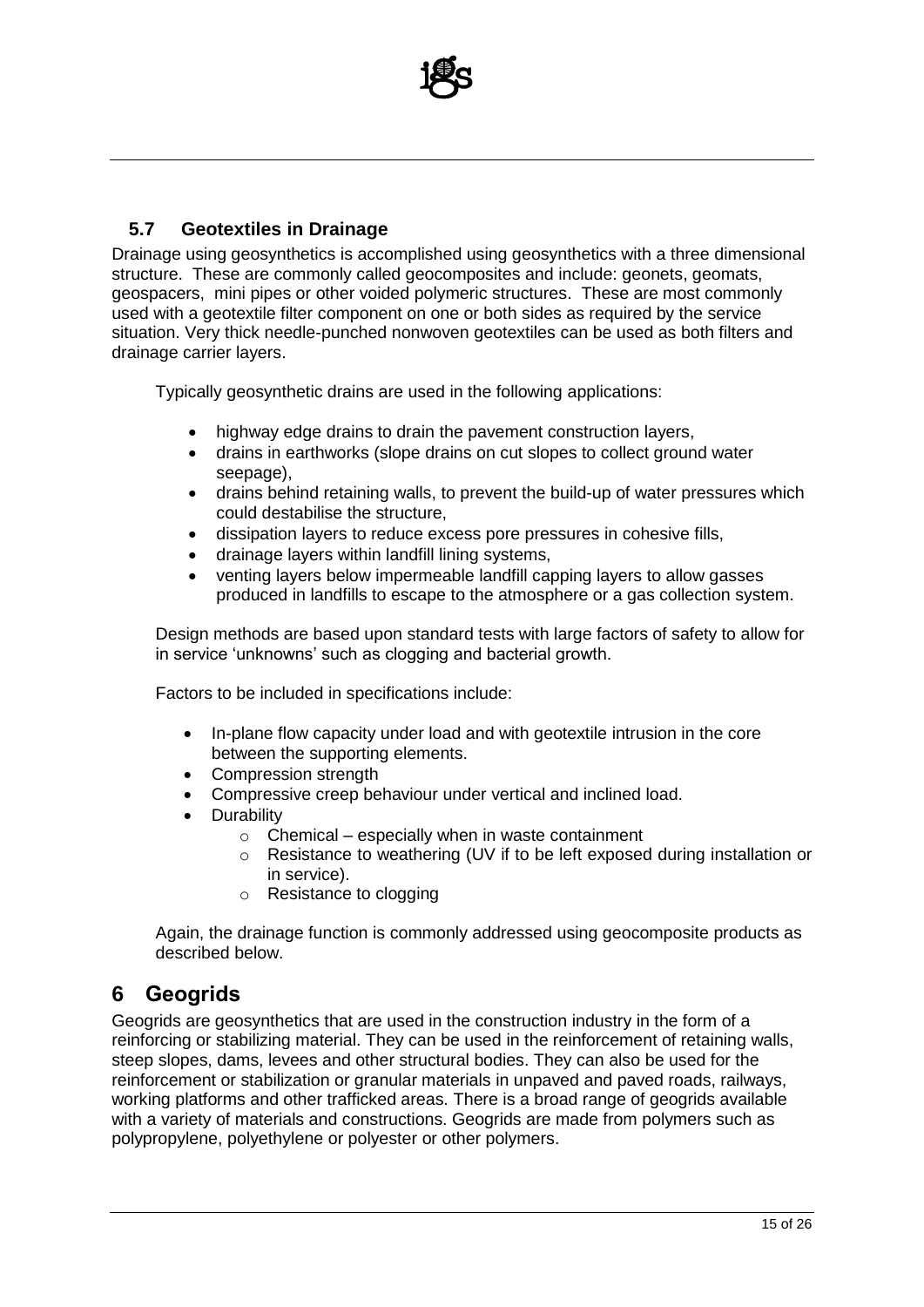

#### **5.7 Geotextiles in Drainage**

Drainage using geosynthetics is accomplished using geosynthetics with a three dimensional structure. These are commonly called geocomposites and include: geonets, geomats, geospacers, mini pipes or other voided polymeric structures. These are most commonly used with a geotextile filter component on one or both sides as required by the service situation. Very thick needle-punched nonwoven geotextiles can be used as both filters and drainage carrier layers.

Typically geosynthetic drains are used in the following applications:

- highway edge drains to drain the pavement construction layers,
- drains in earthworks (slope drains on cut slopes to collect ground water seepage),
- drains behind retaining walls, to prevent the build-up of water pressures which could destabilise the structure,
- dissipation layers to reduce excess pore pressures in cohesive fills,
- drainage layers within landfill lining systems,
- venting layers below impermeable landfill capping layers to allow gasses produced in landfills to escape to the atmosphere or a gas collection system.

Design methods are based upon standard tests with large factors of safety to allow for in service 'unknowns' such as clogging and bacterial growth.

Factors to be included in specifications include:

- In-plane flow capacity under load and with geotextile intrusion in the core between the supporting elements.
- Compression strength
- Compressive creep behaviour under vertical and inclined load.
- Durability
	- $\circ$  Chemical especially when in waste containment
	- o Resistance to weathering (UV if to be left exposed during installation or in service).
	- o Resistance to clogging

Again, the drainage function is commonly addressed using geocomposite products as described below.

### **6 Geogrids**

Geogrids are geosynthetics that are used in the construction industry in the form of a reinforcing or stabilizing material. They can be used in the reinforcement of retaining walls, steep slopes, dams, levees and other structural bodies. They can also be used for the reinforcement or stabilization or granular materials in unpaved and paved roads, railways, working platforms and other trafficked areas. There is a broad range of geogrids available with a variety of materials and constructions. Geogrids are made from polymers such as polypropylene, polyethylene or polyester or other polymers.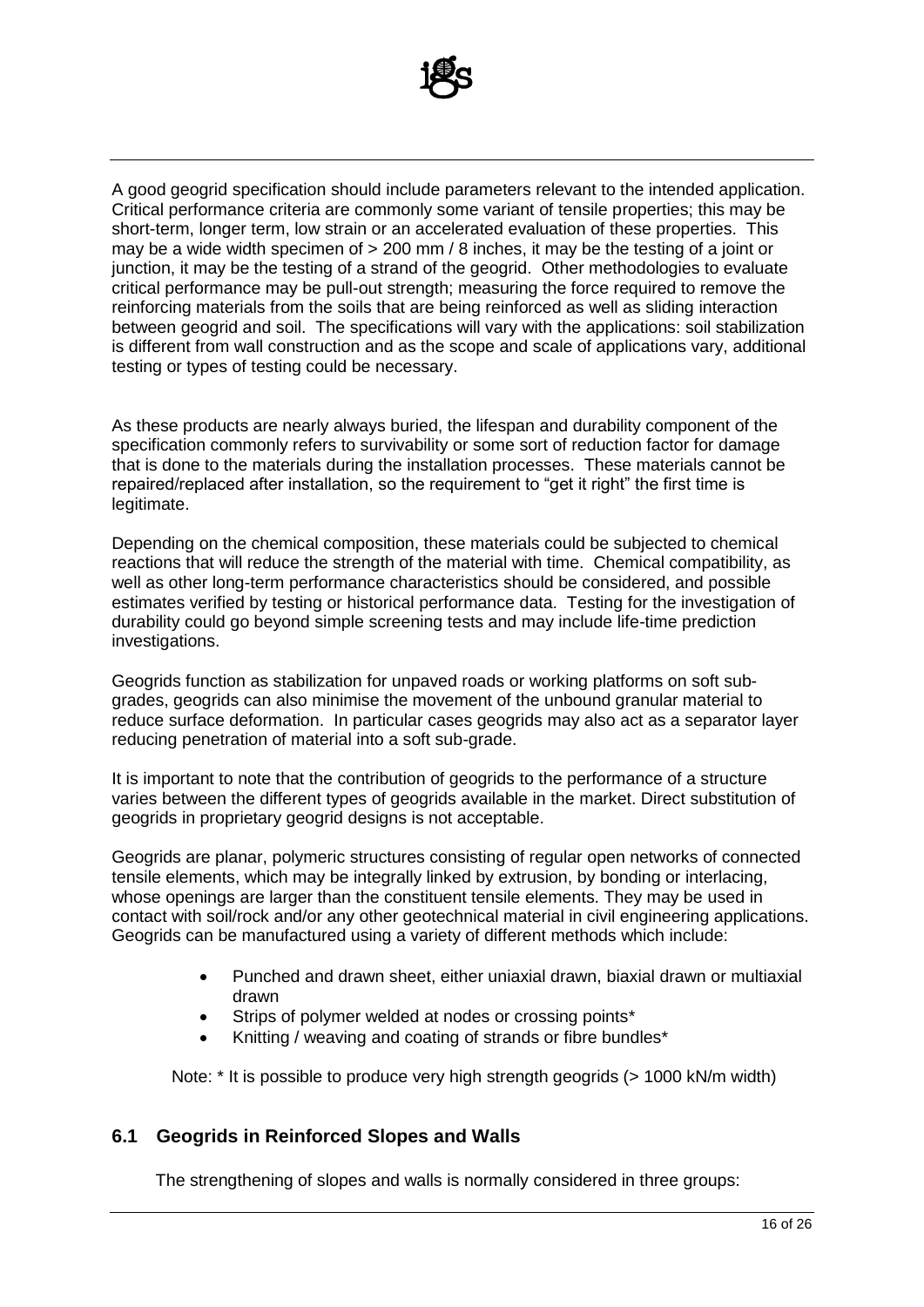

A good geogrid specification should include parameters relevant to the intended application. Critical performance criteria are commonly some variant of tensile properties; this may be short-term, longer term, low strain or an accelerated evaluation of these properties. This may be a wide width specimen of > 200 mm / 8 inches, it may be the testing of a joint or junction, it may be the testing of a strand of the geogrid. Other methodologies to evaluate critical performance may be pull-out strength; measuring the force required to remove the reinforcing materials from the soils that are being reinforced as well as sliding interaction between geogrid and soil. The specifications will vary with the applications: soil stabilization is different from wall construction and as the scope and scale of applications vary, additional testing or types of testing could be necessary.

As these products are nearly always buried, the lifespan and durability component of the specification commonly refers to survivability or some sort of reduction factor for damage that is done to the materials during the installation processes. These materials cannot be repaired/replaced after installation, so the requirement to "get it right" the first time is legitimate.

Depending on the chemical composition, these materials could be subjected to chemical reactions that will reduce the strength of the material with time. Chemical compatibility, as well as other long-term performance characteristics should be considered, and possible estimates verified by testing or historical performance data. Testing for the investigation of durability could go beyond simple screening tests and may include life-time prediction investigations.

Geogrids function as stabilization for unpaved roads or working platforms on soft subgrades, geogrids can also minimise the movement of the unbound granular material to reduce surface deformation. In particular cases geogrids may also act as a separator layer reducing penetration of material into a soft sub-grade.

It is important to note that the contribution of geogrids to the performance of a structure varies between the different types of geogrids available in the market. Direct substitution of geogrids in proprietary geogrid designs is not acceptable.

Geogrids are planar, polymeric structures consisting of regular open networks of connected tensile elements, which may be integrally linked by extrusion, by bonding or interlacing, whose openings are larger than the constituent tensile elements. They may be used in contact with soil/rock and/or any other geotechnical material in civil engineering applications. Geogrids can be manufactured using a variety of different methods which include:

- Punched and drawn sheet, either uniaxial drawn, biaxial drawn or multiaxial drawn
- Strips of polymer welded at nodes or crossing points\*
- Knitting / weaving and coating of strands or fibre bundles\*

Note: \* It is possible to produce very high strength geogrids (> 1000 kN/m width)

#### **6.1 Geogrids in Reinforced Slopes and Walls**

The strengthening of slopes and walls is normally considered in three groups: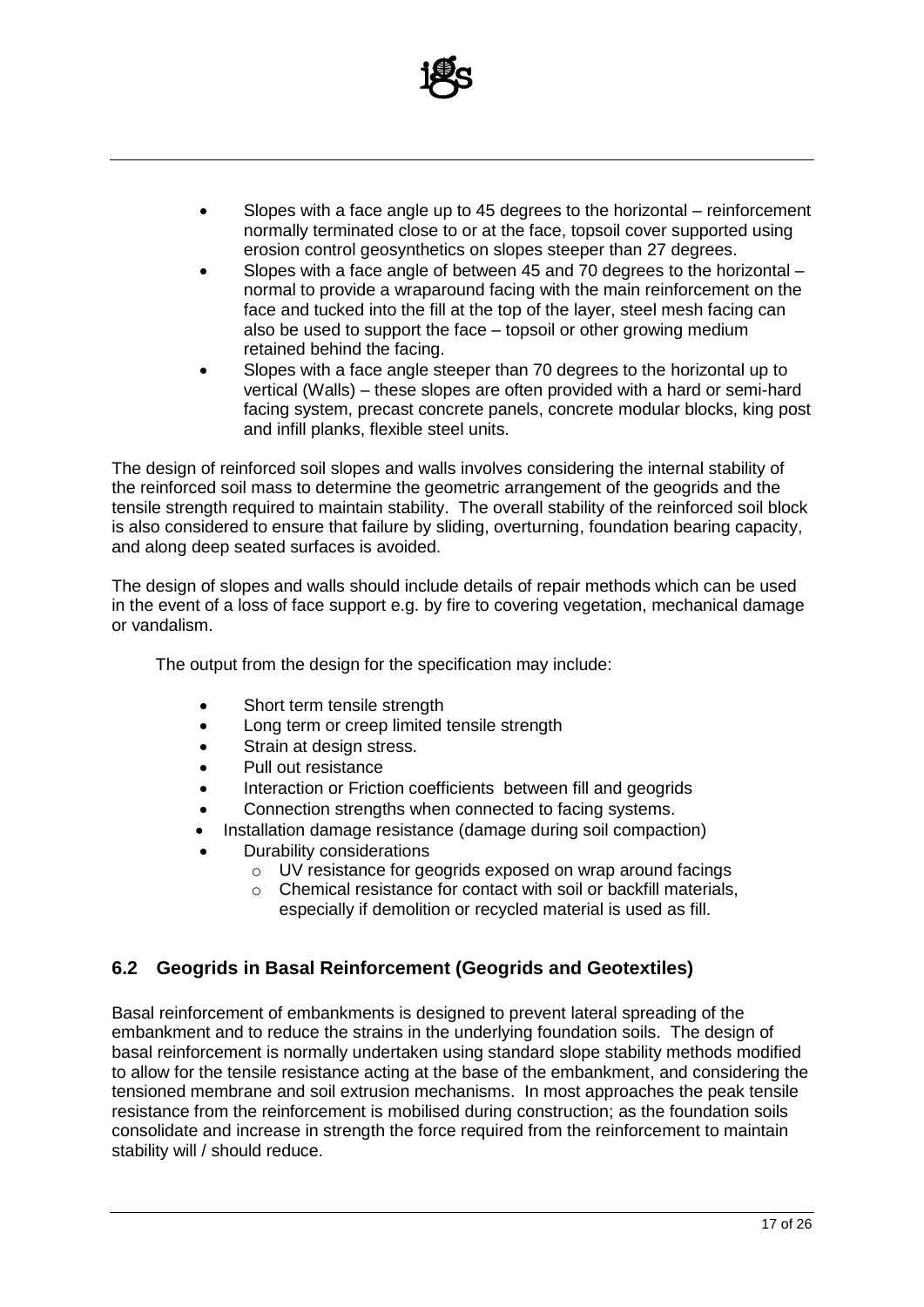

- Slopes with a face angle up to 45 degrees to the horizontal reinforcement normally terminated close to or at the face, topsoil cover supported using erosion control geosynthetics on slopes steeper than 27 degrees.
- Slopes with a face angle of between 45 and 70 degrees to the horizontal normal to provide a wraparound facing with the main reinforcement on the face and tucked into the fill at the top of the layer, steel mesh facing can also be used to support the face – topsoil or other growing medium retained behind the facing.
- Slopes with a face angle steeper than 70 degrees to the horizontal up to vertical (Walls) – these slopes are often provided with a hard or semi-hard facing system, precast concrete panels, concrete modular blocks, king post and infill planks, flexible steel units.

The design of reinforced soil slopes and walls involves considering the internal stability of the reinforced soil mass to determine the geometric arrangement of the geogrids and the tensile strength required to maintain stability. The overall stability of the reinforced soil block is also considered to ensure that failure by sliding, overturning, foundation bearing capacity, and along deep seated surfaces is avoided.

The design of slopes and walls should include details of repair methods which can be used in the event of a loss of face support e.g. by fire to covering vegetation, mechanical damage or vandalism.

The output from the design for the specification may include:

- Short term tensile strength
- Long term or creep limited tensile strength
- Strain at design stress.
- Pull out resistance
- Interaction or Friction coefficients between fill and geogrids
- Connection strengths when connected to facing systems.
- Installation damage resistance (damage during soil compaction)
- Durability considerations
	- o UV resistance for geogrids exposed on wrap around facings
	- o Chemical resistance for contact with soil or backfill materials, especially if demolition or recycled material is used as fill.

#### **6.2 Geogrids in Basal Reinforcement (Geogrids and Geotextiles)**

Basal reinforcement of embankments is designed to prevent lateral spreading of the embankment and to reduce the strains in the underlying foundation soils. The design of basal reinforcement is normally undertaken using standard slope stability methods modified to allow for the tensile resistance acting at the base of the embankment, and considering the tensioned membrane and soil extrusion mechanisms. In most approaches the peak tensile resistance from the reinforcement is mobilised during construction; as the foundation soils consolidate and increase in strength the force required from the reinforcement to maintain stability will / should reduce.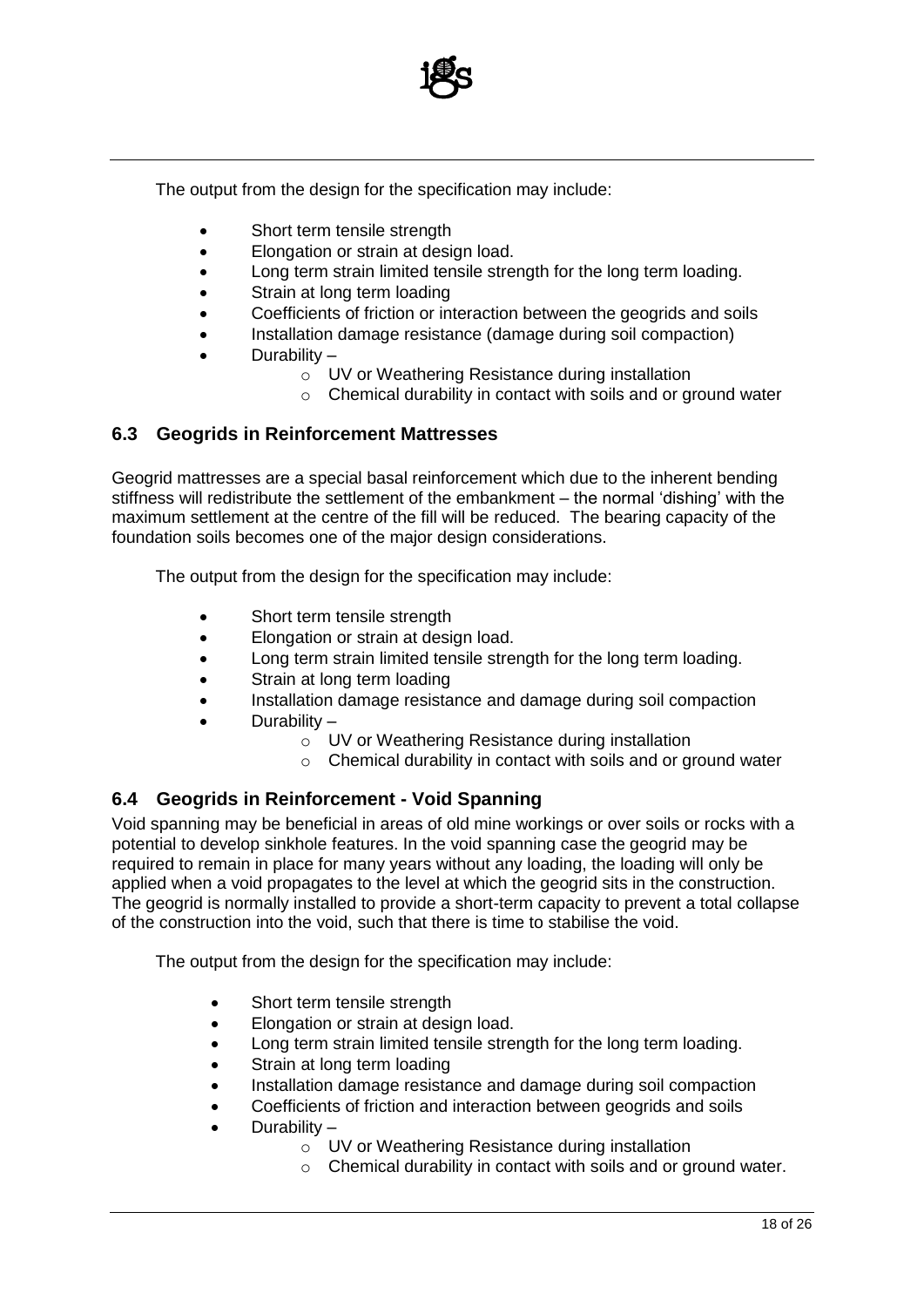

The output from the design for the specification may include:

- Short term tensile strength
- Elongation or strain at design load.
- Long term strain limited tensile strength for the long term loading.
- Strain at long term loading
- Coefficients of friction or interaction between the geogrids and soils
- Installation damage resistance (damage during soil compaction)
- Durability
	- o UV or Weathering Resistance during installation
	- o Chemical durability in contact with soils and or ground water

#### **6.3 Geogrids in Reinforcement Mattresses**

Geogrid mattresses are a special basal reinforcement which due to the inherent bending stiffness will redistribute the settlement of the embankment – the normal 'dishing' with the maximum settlement at the centre of the fill will be reduced. The bearing capacity of the foundation soils becomes one of the major design considerations.

The output from the design for the specification may include:

- Short term tensile strength
- Elongation or strain at design load.
- Long term strain limited tensile strength for the long term loading.
- Strain at long term loading
- Installation damage resistance and damage during soil compaction
- Durability
	- o UV or Weathering Resistance during installation
	- $\circ$  Chemical durability in contact with soils and or ground water

#### **6.4 Geogrids in Reinforcement - Void Spanning**

Void spanning may be beneficial in areas of old mine workings or over soils or rocks with a potential to develop sinkhole features. In the void spanning case the geogrid may be required to remain in place for many years without any loading, the loading will only be applied when a void propagates to the level at which the geogrid sits in the construction. The geogrid is normally installed to provide a short-term capacity to prevent a total collapse of the construction into the void, such that there is time to stabilise the void.

The output from the design for the specification may include:

- Short term tensile strength
- Elongation or strain at design load.
- Long term strain limited tensile strength for the long term loading.
- Strain at long term loading
- Installation damage resistance and damage during soil compaction
- Coefficients of friction and interaction between geogrids and soils
- Durability
	- o UV or Weathering Resistance during installation
	- o Chemical durability in contact with soils and or ground water.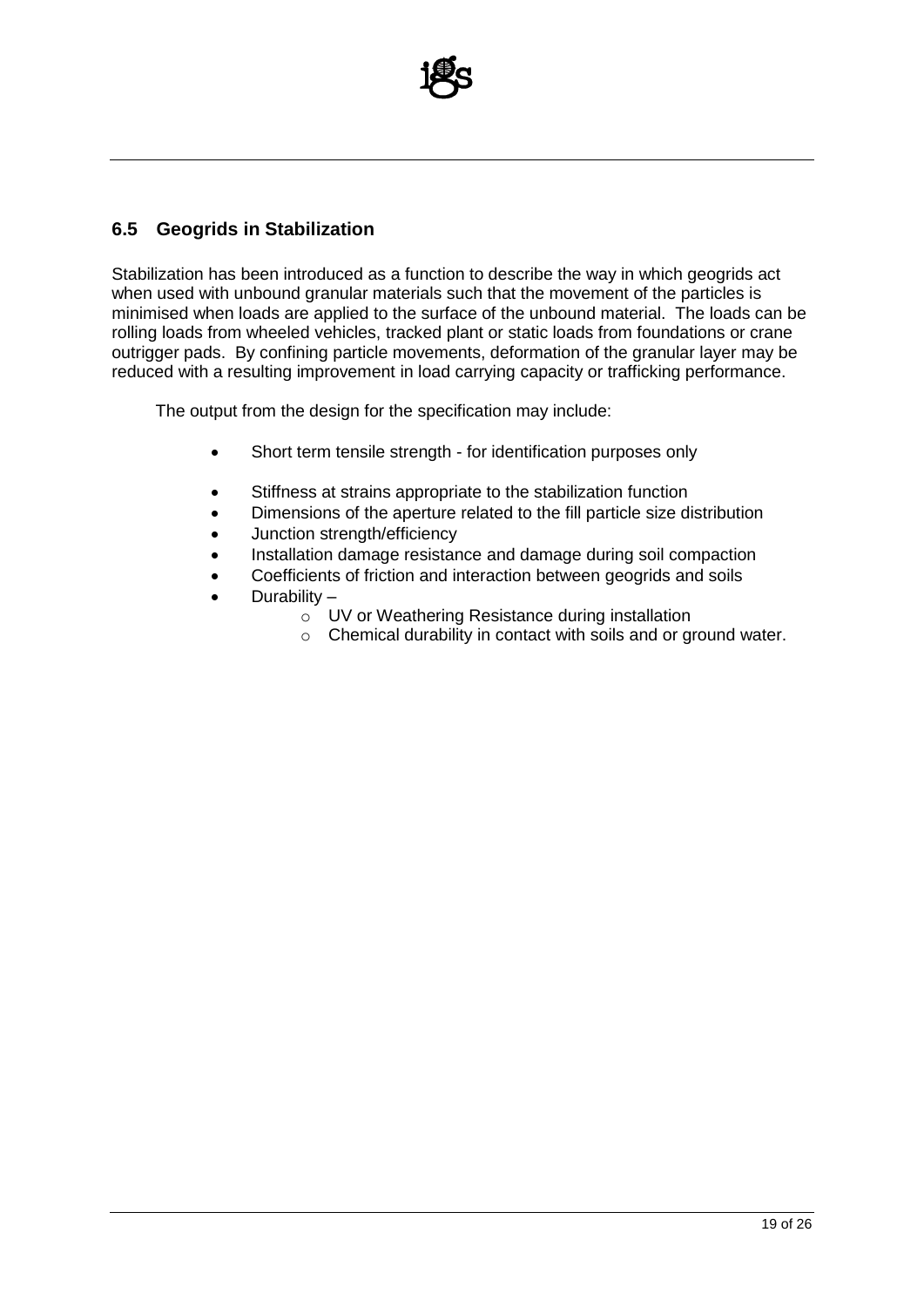

#### **6.5 Geogrids in Stabilization**

Stabilization has been introduced as a function to describe the way in which geogrids act when used with unbound granular materials such that the movement of the particles is minimised when loads are applied to the surface of the unbound material. The loads can be rolling loads from wheeled vehicles, tracked plant or static loads from foundations or crane outrigger pads. By confining particle movements, deformation of the granular layer may be reduced with a resulting improvement in load carrying capacity or trafficking performance.

The output from the design for the specification may include:

- Short term tensile strength for identification purposes only
- Stiffness at strains appropriate to the stabilization function
- Dimensions of the aperture related to the fill particle size distribution
- Junction strength/efficiency
- Installation damage resistance and damage during soil compaction
- Coefficients of friction and interaction between geogrids and soils
- Durability
	- o UV or Weathering Resistance during installation
	- o Chemical durability in contact with soils and or ground water.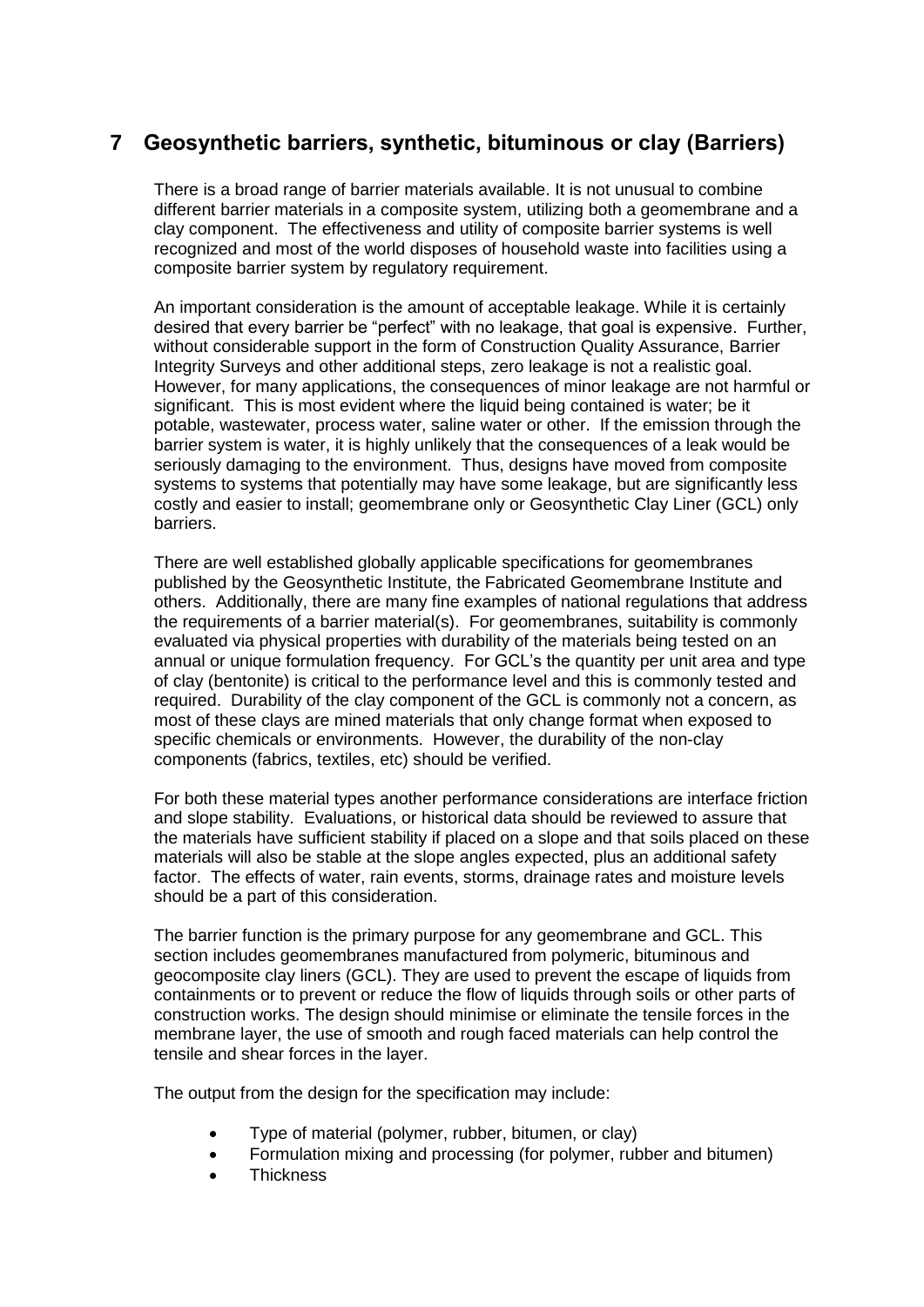# **7 Geosynthetic barriers, synthetic, bituminous or clay (Barriers)**

There is a broad range of barrier materials available. It is not unusual to combine different barrier materials in a composite system, utilizing both a geomembrane and a clay component. The effectiveness and utility of composite barrier systems is well recognized and most of the world disposes of household waste into facilities using a composite barrier system by regulatory requirement.

An important consideration is the amount of acceptable leakage. While it is certainly desired that every barrier be "perfect" with no leakage, that goal is expensive. Further, without considerable support in the form of Construction Quality Assurance, Barrier Integrity Surveys and other additional steps, zero leakage is not a realistic goal. However, for many applications, the consequences of minor leakage are not harmful or significant. This is most evident where the liquid being contained is water; be it potable, wastewater, process water, saline water or other. If the emission through the barrier system is water, it is highly unlikely that the consequences of a leak would be seriously damaging to the environment. Thus, designs have moved from composite systems to systems that potentially may have some leakage, but are significantly less costly and easier to install; geomembrane only or Geosynthetic Clay Liner (GCL) only barriers.

There are well established globally applicable specifications for geomembranes published by the Geosynthetic Institute, the Fabricated Geomembrane Institute and others. Additionally, there are many fine examples of national regulations that address the requirements of a barrier material(s). For geomembranes, suitability is commonly evaluated via physical properties with durability of the materials being tested on an annual or unique formulation frequency. For GCL's the quantity per unit area and type of clay (bentonite) is critical to the performance level and this is commonly tested and required. Durability of the clay component of the GCL is commonly not a concern, as most of these clays are mined materials that only change format when exposed to specific chemicals or environments. However, the durability of the non-clay components (fabrics, textiles, etc) should be verified.

For both these material types another performance considerations are interface friction and slope stability. Evaluations, or historical data should be reviewed to assure that the materials have sufficient stability if placed on a slope and that soils placed on these materials will also be stable at the slope angles expected, plus an additional safety factor. The effects of water, rain events, storms, drainage rates and moisture levels should be a part of this consideration.

The barrier function is the primary purpose for any geomembrane and GCL. This section includes geomembranes manufactured from polymeric, bituminous and geocomposite clay liners (GCL). They are used to prevent the escape of liquids from containments or to prevent or reduce the flow of liquids through soils or other parts of construction works. The design should minimise or eliminate the tensile forces in the membrane layer, the use of smooth and rough faced materials can help control the tensile and shear forces in the layer.

The output from the design for the specification may include:

- Type of material (polymer, rubber, bitumen, or clay)
- Formulation mixing and processing (for polymer, rubber and bitumen)
- **Thickness**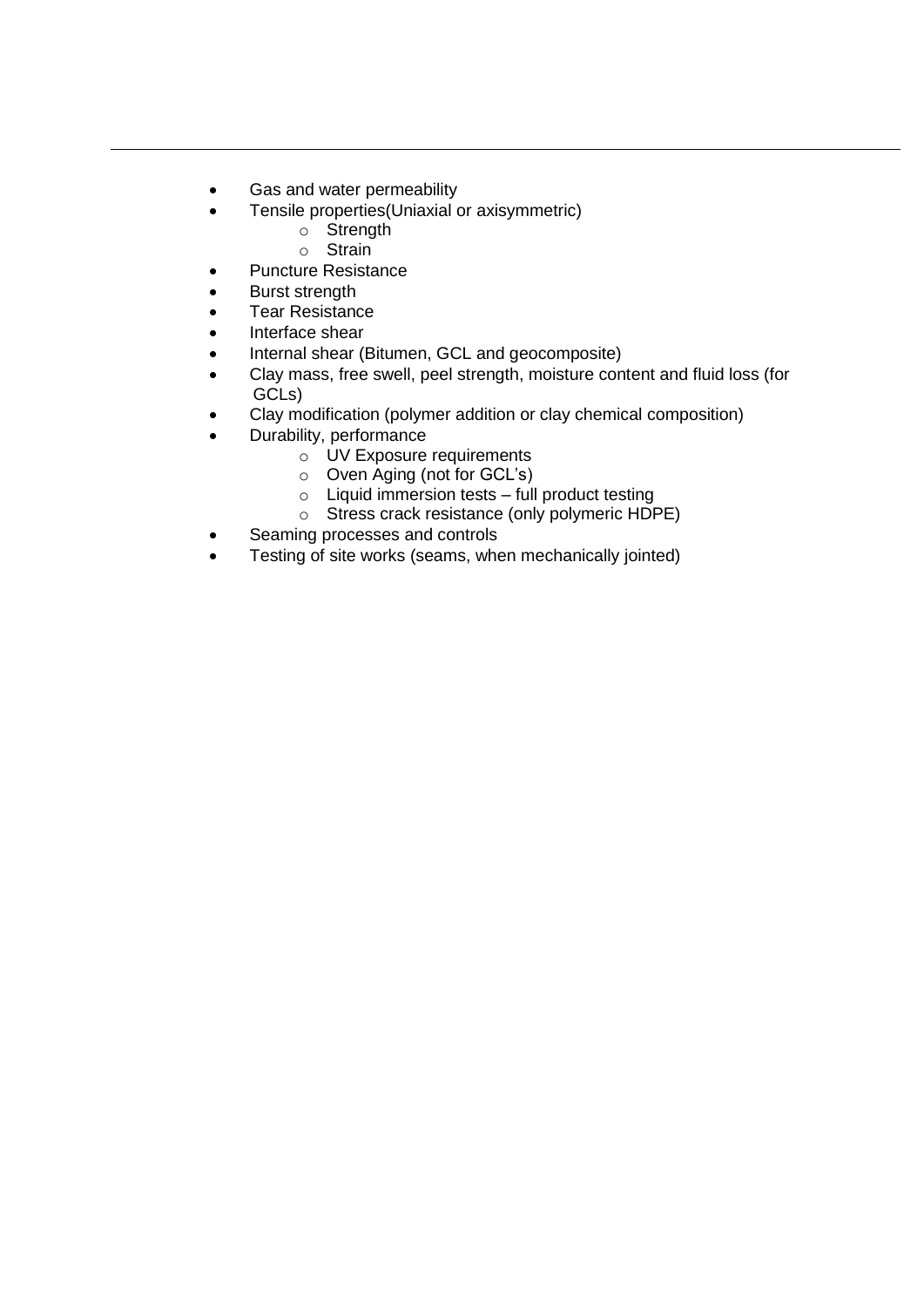- Gas and water permeability
- Tensile properties(Uniaxial or axisymmetric)
	- o Strength
	- o Strain
- Puncture Resistance
- Burst strength
- Tear Resistance
- Interface shear
- Internal shear (Bitumen, GCL and geocomposite)
- Clay mass, free swell, peel strength, moisture content and fluid loss (for GCLs)
- Clay modification (polymer addition or clay chemical composition)
- Durability, performance
	- o UV Exposure requirements
	- o Oven Aging (not for GCL's)
	- o Liquid immersion tests full product testing
	- o Stress crack resistance (only polymeric HDPE)
- Seaming processes and controls
- Testing of site works (seams, when mechanically jointed)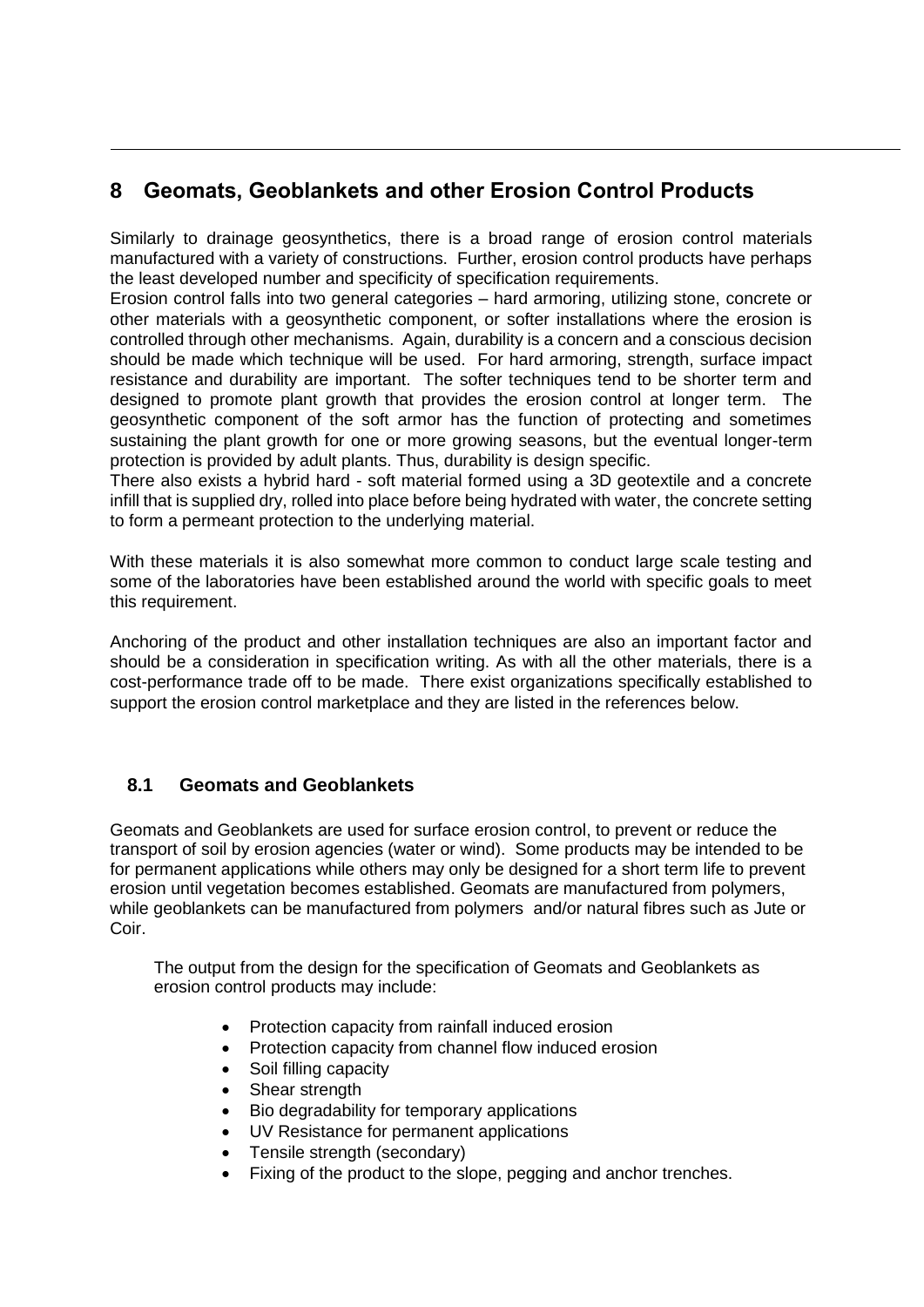# **8 Geomats, Geoblankets and other Erosion Control Products**

Similarly to drainage geosynthetics, there is a broad range of erosion control materials manufactured with a variety of constructions. Further, erosion control products have perhaps the least developed number and specificity of specification requirements.

Erosion control falls into two general categories – hard armoring, utilizing stone, concrete or other materials with a geosynthetic component, or softer installations where the erosion is controlled through other mechanisms. Again, durability is a concern and a conscious decision should be made which technique will be used. For hard armoring, strength, surface impact resistance and durability are important. The softer techniques tend to be shorter term and designed to promote plant growth that provides the erosion control at longer term. The geosynthetic component of the soft armor has the function of protecting and sometimes sustaining the plant growth for one or more growing seasons, but the eventual longer-term protection is provided by adult plants. Thus, durability is design specific.

There also exists a hybrid hard - soft material formed using a 3D geotextile and a concrete infill that is supplied dry, rolled into place before being hydrated with water, the concrete setting to form a permeant protection to the underlying material.

With these materials it is also somewhat more common to conduct large scale testing and some of the laboratories have been established around the world with specific goals to meet this requirement.

Anchoring of the product and other installation techniques are also an important factor and should be a consideration in specification writing. As with all the other materials, there is a cost-performance trade off to be made. There exist organizations specifically established to support the erosion control marketplace and they are listed in the references below.

#### **8.1 Geomats and Geoblankets**

Geomats and Geoblankets are used for surface erosion control, to prevent or reduce the transport of soil by erosion agencies (water or wind). Some products may be intended to be for permanent applications while others may only be designed for a short term life to prevent erosion until vegetation becomes established. Geomats are manufactured from polymers, while geoblankets can be manufactured from polymers and/or natural fibres such as Jute or Coir.

The output from the design for the specification of Geomats and Geoblankets as erosion control products may include:

- Protection capacity from rainfall induced erosion
- Protection capacity from channel flow induced erosion
- Soil filling capacity
- Shear strength
- Bio degradability for temporary applications
- UV Resistance for permanent applications
- Tensile strength (secondary)
- Fixing of the product to the slope, pegging and anchor trenches.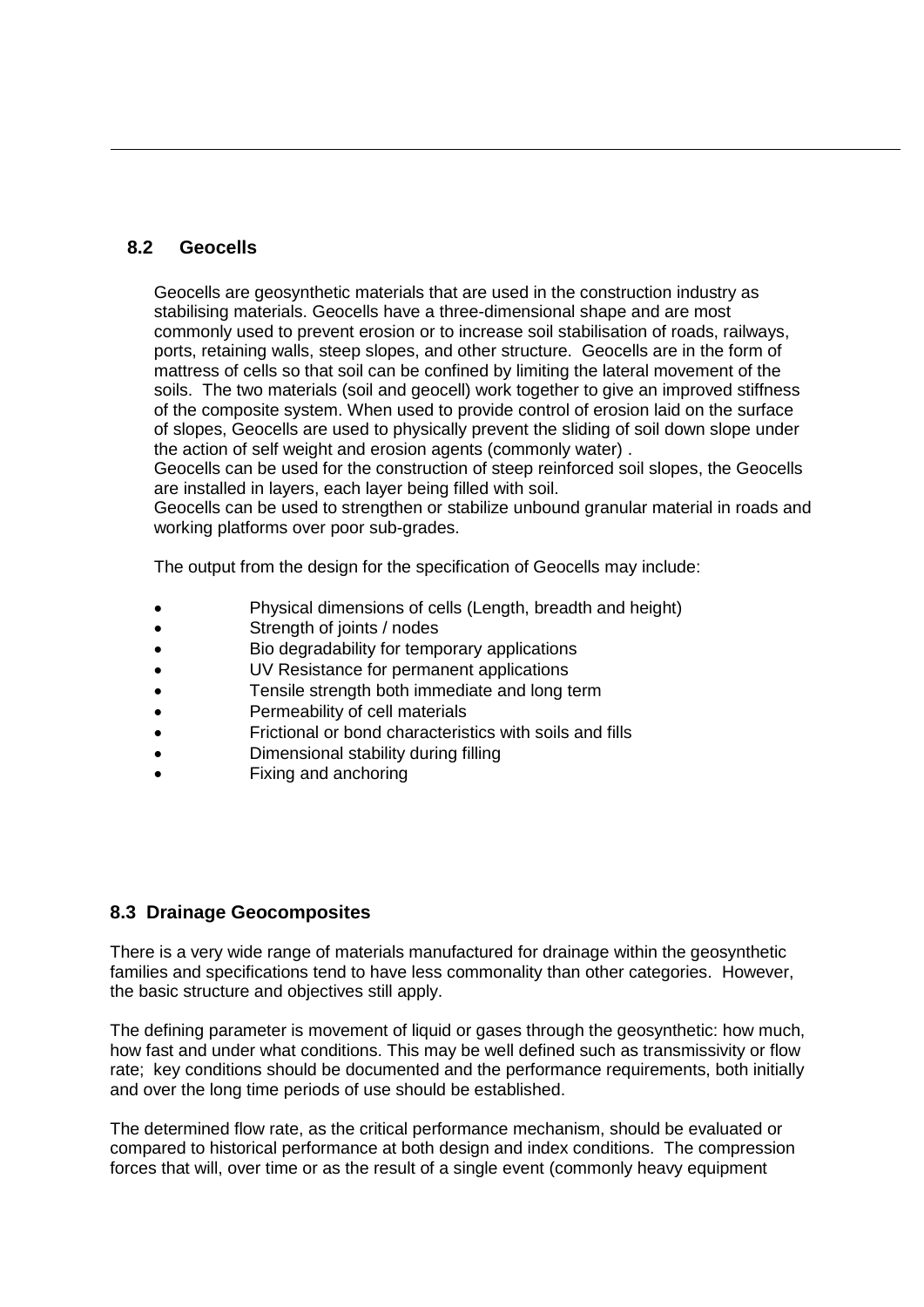#### **8.2 Geocells**

Geocells are geosynthetic materials that are used in the construction industry as stabilising materials. Geocells have a three-dimensional shape and are most commonly used to prevent erosion or to increase soil stabilisation of roads, railways, ports, retaining walls, steep slopes, and other structure. Geocells are in the form of mattress of cells so that soil can be confined by limiting the lateral movement of the soils. The two materials (soil and geocell) work together to give an improved stiffness of the composite system. When used to provide control of erosion laid on the surface of slopes, Geocells are used to physically prevent the sliding of soil down slope under the action of self weight and erosion agents (commonly water) .

Geocells can be used for the construction of steep reinforced soil slopes, the Geocells are installed in layers, each layer being filled with soil.

Geocells can be used to strengthen or stabilize unbound granular material in roads and working platforms over poor sub-grades.

The output from the design for the specification of Geocells may include:

- Physical dimensions of cells (Length, breadth and height)
- Strength of joints / nodes
- Bio degradability for temporary applications
- UV Resistance for permanent applications
- Tensile strength both immediate and long term
- Permeability of cell materials
- Frictional or bond characteristics with soils and fills
- Dimensional stability during filling
- Fixing and anchoring

#### **8.3 Drainage Geocomposites**

There is a very wide range of materials manufactured for drainage within the geosynthetic families and specifications tend to have less commonality than other categories. However, the basic structure and objectives still apply.

The defining parameter is movement of liquid or gases through the geosynthetic: how much, how fast and under what conditions. This may be well defined such as transmissivity or flow rate; key conditions should be documented and the performance requirements, both initially and over the long time periods of use should be established.

The determined flow rate, as the critical performance mechanism, should be evaluated or compared to historical performance at both design and index conditions. The compression forces that will, over time or as the result of a single event (commonly heavy equipment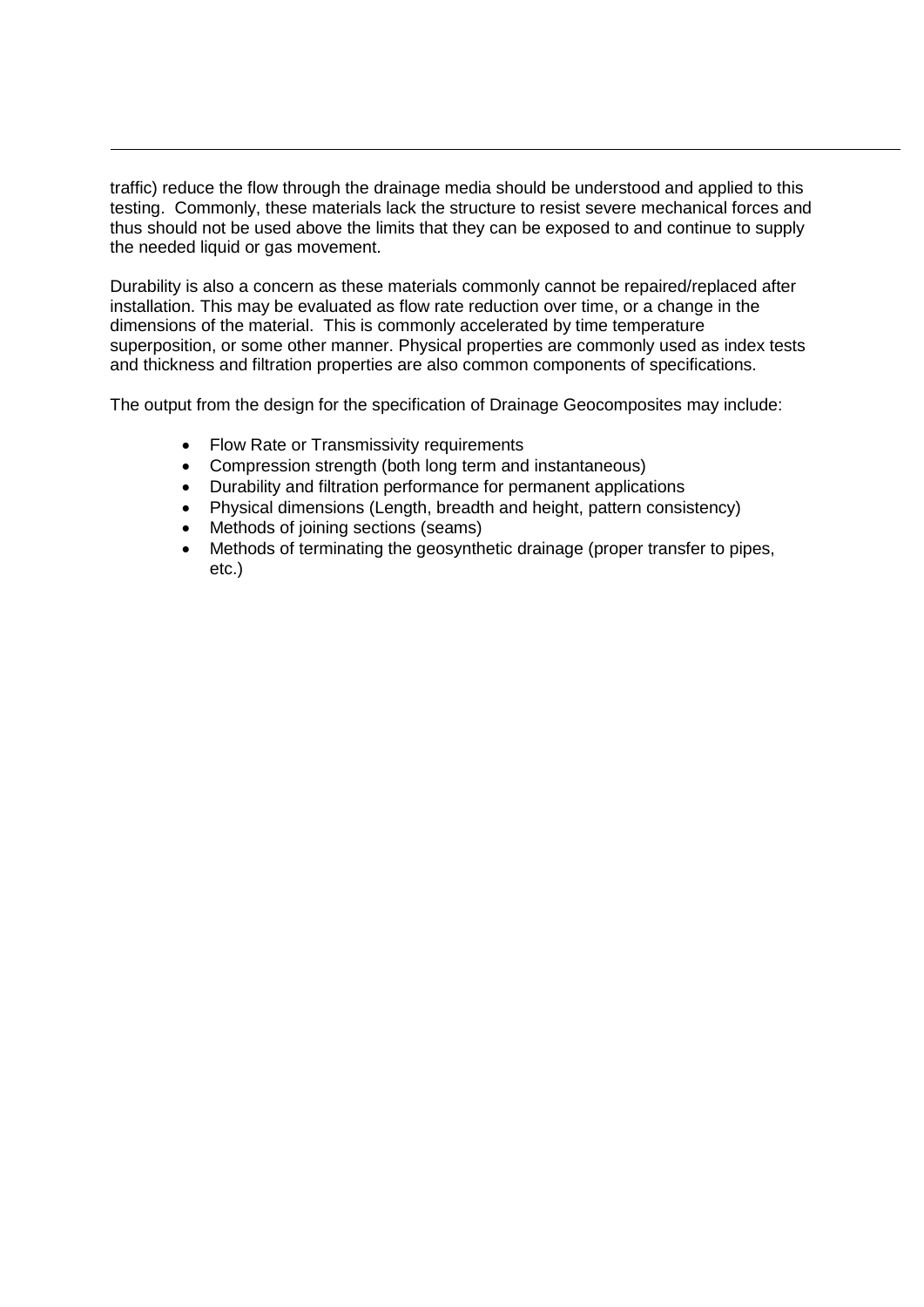traffic) reduce the flow through the drainage media should be understood and applied to this testing. Commonly, these materials lack the structure to resist severe mechanical forces and thus should not be used above the limits that they can be exposed to and continue to supply the needed liquid or gas movement.

Durability is also a concern as these materials commonly cannot be repaired/replaced after installation. This may be evaluated as flow rate reduction over time, or a change in the dimensions of the material. This is commonly accelerated by time temperature superposition, or some other manner. Physical properties are commonly used as index tests and thickness and filtration properties are also common components of specifications.

The output from the design for the specification of Drainage Geocomposites may include:

- Flow Rate or Transmissivity requirements
- Compression strength (both long term and instantaneous)
- Durability and filtration performance for permanent applications
- Physical dimensions (Length, breadth and height, pattern consistency)
- Methods of joining sections (seams)
- Methods of terminating the geosynthetic drainage (proper transfer to pipes, etc.)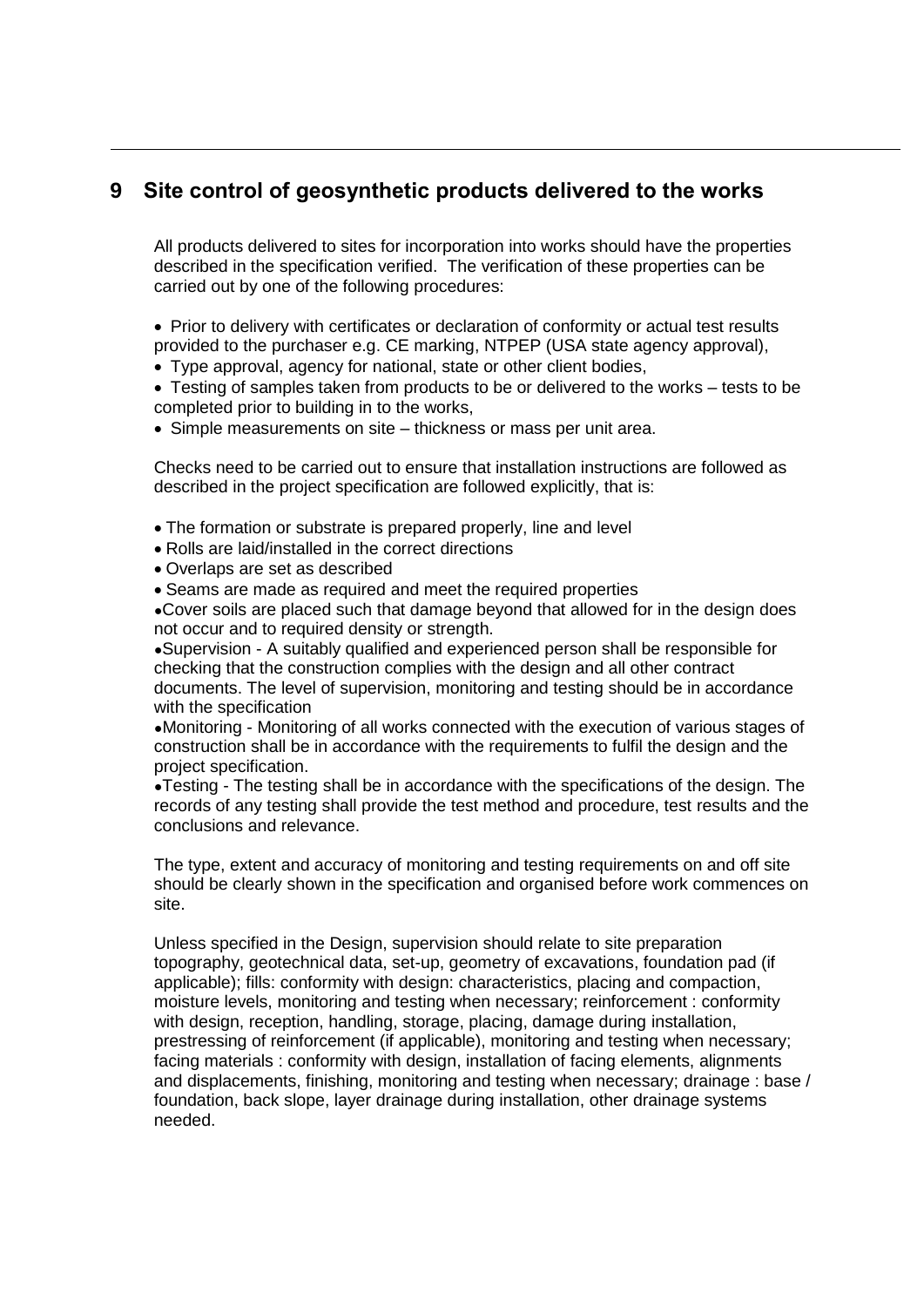### **9 Site control of geosynthetic products delivered to the works**

All products delivered to sites for incorporation into works should have the properties described in the specification verified. The verification of these properties can be carried out by one of the following procedures:

• Prior to delivery with certificates or declaration of conformity or actual test results provided to the purchaser e.g. CE marking, NTPEP (USA state agency approval),

• Type approval, agency for national, state or other client bodies,

• Testing of samples taken from products to be or delivered to the works – tests to be completed prior to building in to the works,

• Simple measurements on site – thickness or mass per unit area.

Checks need to be carried out to ensure that installation instructions are followed as described in the project specification are followed explicitly, that is:

- The formation or substrate is prepared properly, line and level
- Rolls are laid/installed in the correct directions
- Overlaps are set as described
- Seams are made as required and meet the required properties

●Cover soils are placed such that damage beyond that allowed for in the design does not occur and to required density or strength.

●Supervision - A suitably qualified and experienced person shall be responsible for checking that the construction complies with the design and all other contract documents. The level of supervision, monitoring and testing should be in accordance with the specification

●Monitoring - Monitoring of all works connected with the execution of various stages of construction shall be in accordance with the requirements to fulfil the design and the project specification.

●Testing - The testing shall be in accordance with the specifications of the design. The records of any testing shall provide the test method and procedure, test results and the conclusions and relevance.

The type, extent and accuracy of monitoring and testing requirements on and off site should be clearly shown in the specification and organised before work commences on site.

Unless specified in the Design, supervision should relate to site preparation topography, geotechnical data, set-up, geometry of excavations, foundation pad (if applicable); fills: conformity with design: characteristics, placing and compaction, moisture levels, monitoring and testing when necessary; reinforcement : conformity with design, reception, handling, storage, placing, damage during installation, prestressing of reinforcement (if applicable), monitoring and testing when necessary; facing materials : conformity with design, installation of facing elements, alignments and displacements, finishing, monitoring and testing when necessary; drainage : base / foundation, back slope, layer drainage during installation, other drainage systems needed.